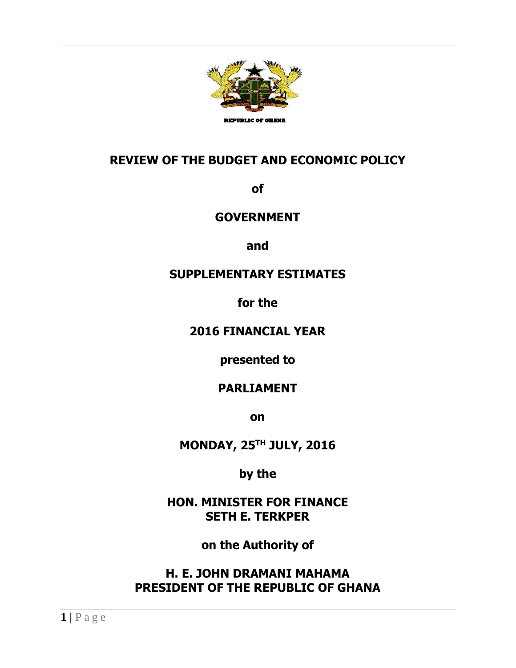

## **REVIEW OF THE BUDGET AND ECONOMIC POLICY**

**of**

#### **GOVERNMENT**

**and**

## **SUPPLEMENTARY ESTIMATES**

**for the**

#### **2016 FINANCIAL YEAR**

**presented to**

## **PARLIAMENT**

**on**

**MONDAY, 25TH JULY, 2016**

**by the**

**HON. MINISTER FOR FINANCE SETH E. TERKPER**

**on the Authority of**

**H. E. JOHN DRAMANI MAHAMA PRESIDENT OF THE REPUBLIC OF GHANA**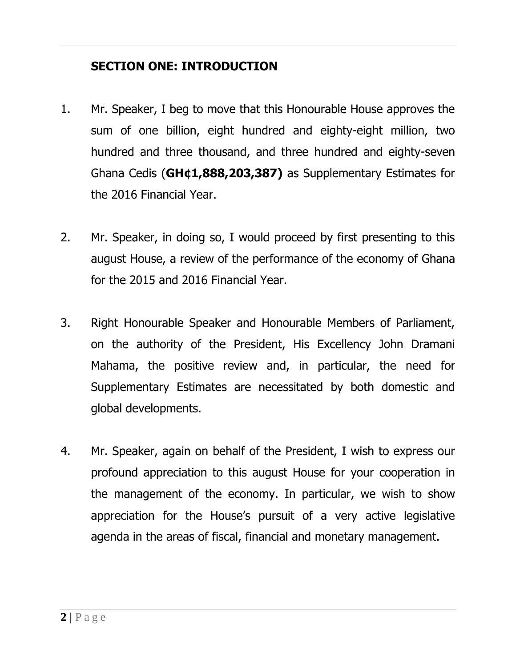## **SECTION ONE: INTRODUCTION**

- 1. Mr. Speaker, I beg to move that this Honourable House approves the sum of one billion, eight hundred and eighty-eight million, two hundred and three thousand, and three hundred and eighty-seven Ghana Cedis (**GH¢1,888,203,387)** as Supplementary Estimates for the 2016 Financial Year.
- 2. Mr. Speaker, in doing so, I would proceed by first presenting to this august House, a review of the performance of the economy of Ghana for the 2015 and 2016 Financial Year.
- 3. Right Honourable Speaker and Honourable Members of Parliament, on the authority of the President, His Excellency John Dramani Mahama, the positive review and, in particular, the need for Supplementary Estimates are necessitated by both domestic and global developments.
- 4. Mr. Speaker, again on behalf of the President, I wish to express our profound appreciation to this august House for your cooperation in the management of the economy. In particular, we wish to show appreciation for the House's pursuit of a very active legislative agenda in the areas of fiscal, financial and monetary management.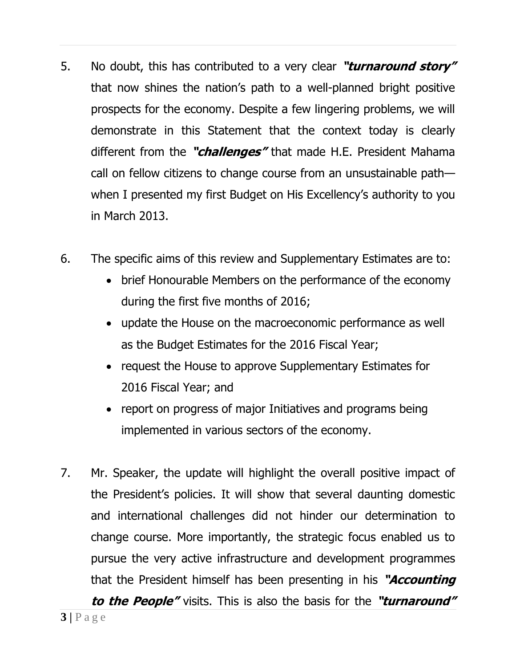- 5. No doubt, this has contributed to a very clear **"turnaround story"** that now shines the nation's path to a well-planned bright positive prospects for the economy. Despite a few lingering problems, we will demonstrate in this Statement that the context today is clearly different from the **"challenges"** that made H.E. President Mahama call on fellow citizens to change course from an unsustainable path when I presented my first Budget on His Excellency's authority to you in March 2013.
- 6. The specific aims of this review and Supplementary Estimates are to:
	- brief Honourable Members on the performance of the economy during the first five months of 2016;
	- update the House on the macroeconomic performance as well as the Budget Estimates for the 2016 Fiscal Year;
	- request the House to approve Supplementary Estimates for 2016 Fiscal Year; and
	- report on progress of major Initiatives and programs being implemented in various sectors of the economy.
- 7. Mr. Speaker, the update will highlight the overall positive impact of the President's policies. It will show that several daunting domestic and international challenges did not hinder our determination to change course. More importantly, the strategic focus enabled us to pursue the very active infrastructure and development programmes that the President himself has been presenting in his **"Accounting**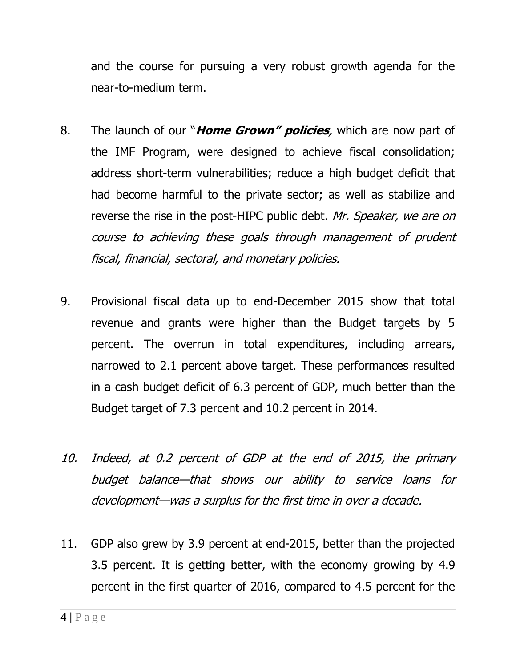and the course for pursuing a very robust growth agenda for the near-to-medium term.

- 8. The launch of our "**Home Grown" policies**, which are now part of the IMF Program, were designed to achieve fiscal consolidation; address short-term vulnerabilities; reduce a high budget deficit that had become harmful to the private sector; as well as stabilize and reverse the rise in the post-HIPC public debt. Mr. Speaker, we are on course to achieving these goals through management of prudent fiscal, financial, sectoral, and monetary policies.
- 9. Provisional fiscal data up to end-December 2015 show that total revenue and grants were higher than the Budget targets by 5 percent. The overrun in total expenditures, including arrears, narrowed to 2.1 percent above target. These performances resulted in a cash budget deficit of 6.3 percent of GDP, much better than the Budget target of 7.3 percent and 10.2 percent in 2014.
- 10. Indeed, at 0.2 percent of GDP at the end of 2015, the primary budget balance—that shows our ability to service loans for development—was a surplus for the first time in over a decade.
- 11. GDP also grew by 3.9 percent at end-2015, better than the projected 3.5 percent. It is getting better, with the economy growing by 4.9 percent in the first quarter of 2016, compared to 4.5 percent for the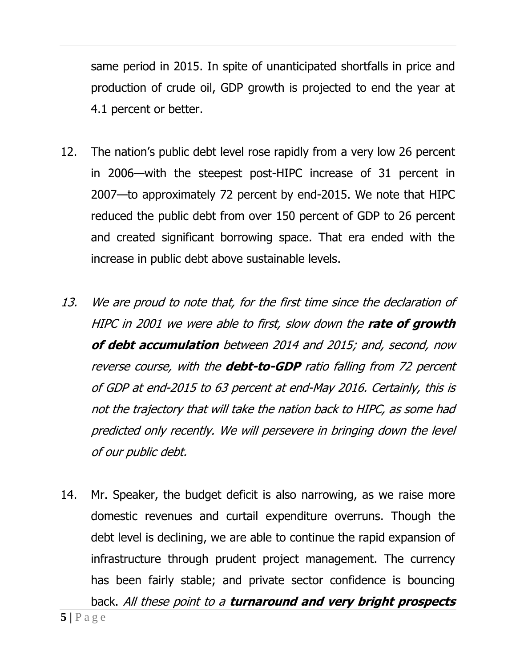same period in 2015. In spite of unanticipated shortfalls in price and production of crude oil, GDP growth is projected to end the year at 4.1 percent or better.

- 12. The nation's public debt level rose rapidly from a very low 26 percent in 2006—with the steepest post-HIPC increase of 31 percent in 2007—to approximately 72 percent by end-2015. We note that HIPC reduced the public debt from over 150 percent of GDP to 26 percent and created significant borrowing space. That era ended with the increase in public debt above sustainable levels.
- 13. We are proud to note that, for the first time since the declaration of HIPC in 2001 we were able to first, slow down the **rate of growth of debt accumulation** between 2014 and 2015; and, second, now reverse course, with the **debt-to-GDP** ratio falling from 72 percent of GDP at end-2015 to 63 percent at end-May 2016. Certainly, this is not the trajectory that will take the nation back to HIPC, as some had predicted only recently. We will persevere in bringing down the level of our public debt.
- 14. Mr. Speaker, the budget deficit is also narrowing, as we raise more domestic revenues and curtail expenditure overruns. Though the debt level is declining, we are able to continue the rapid expansion of infrastructure through prudent project management. The currency has been fairly stable; and private sector confidence is bouncing

 $5|$   $P$  a g e back. All these point to a **turnaround and very bright prospects**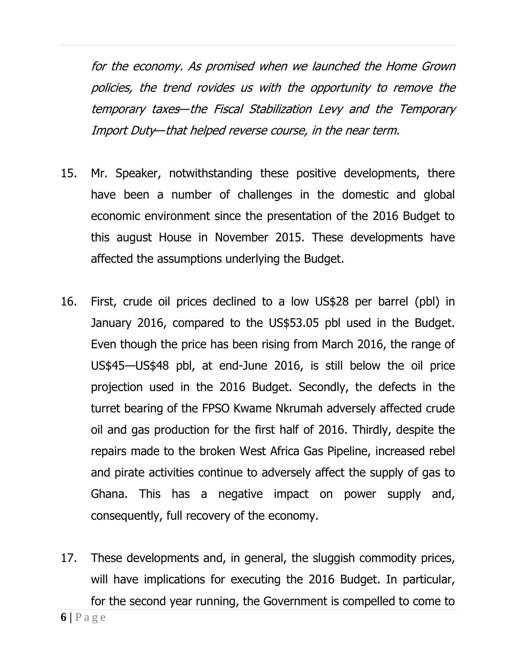for the economy. As promised when we launched the Home Grown policies, the trend rovides us with the opportunity to remove the temporary taxes—the Fiscal Stabilization Levy and the Temporary Import Duty—that helped reverse course, in the near term.

- 15. Mr. Speaker, notwithstanding these positive developments, there have been a number of challenges in the domestic and global economic environment since the presentation of the 2016 Budget to this august House in November 2015. These developments have affected the assumptions underlying the Budget.
- 16. First, crude oil prices declined to a low US\$28 per barrel (pbl) in January 2016, compared to the US\$53.05 pbl used in the Budget. Even though the price has been rising from March 2016, the range of US\$45—US\$48 pbl, at end-June 2016, is still below the oil price projection used in the 2016 Budget. Secondly, the defects in the turret bearing of the FPSO Kwame Nkrumah adversely affected crude oil and gas production for the first half of 2016. Thirdly, despite the repairs made to the broken West Africa Gas Pipeline, increased rebel and pirate activities continue to adversely affect the supply of gas to Ghana. This has a negative impact on power supply and, consequently, full recovery of the economy.
- 17. These developments and, in general, the sluggish commodity prices, will have implications for executing the 2016 Budget. In particular, for the second year running, the Government is compelled to come to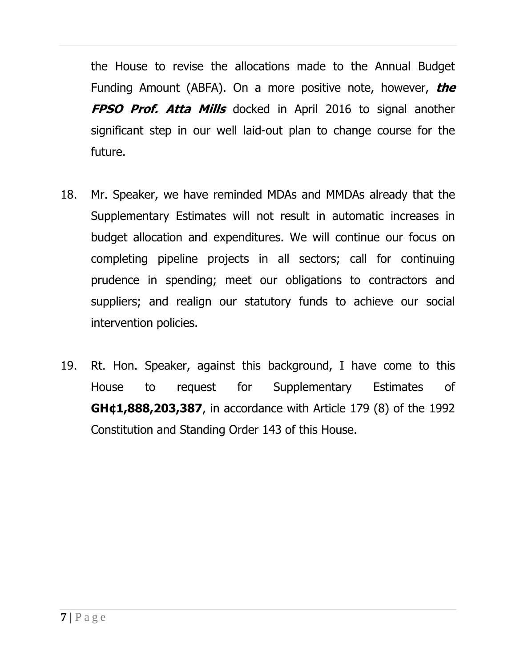the House to revise the allocations made to the Annual Budget Funding Amount (ABFA). On a more positive note, however, **the FPSO Prof. Atta Mills** docked in April 2016 to signal another significant step in our well laid-out plan to change course for the future.

- 18. Mr. Speaker, we have reminded MDAs and MMDAs already that the Supplementary Estimates will not result in automatic increases in budget allocation and expenditures. We will continue our focus on completing pipeline projects in all sectors; call for continuing prudence in spending; meet our obligations to contractors and suppliers; and realign our statutory funds to achieve our social intervention policies.
- 19. Rt. Hon. Speaker, against this background, I have come to this House to request for Supplementary Estimates of **GH¢1,888,203,387**, in accordance with Article 179 (8) of the 1992 Constitution and Standing Order 143 of this House.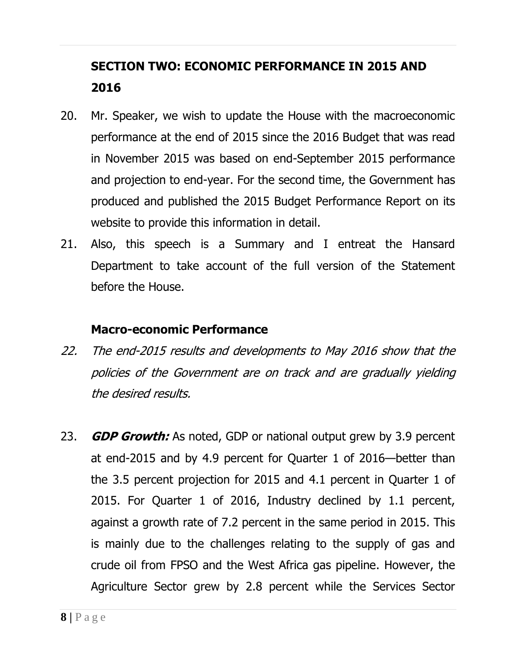# **SECTION TWO: ECONOMIC PERFORMANCE IN 2015 AND 2016**

- 20. Mr. Speaker, we wish to update the House with the macroeconomic performance at the end of 2015 since the 2016 Budget that was read in November 2015 was based on end-September 2015 performance and projection to end-year. For the second time, the Government has produced and published the 2015 Budget Performance Report on its website to provide this information in detail.
- 21. Also, this speech is a Summary and I entreat the Hansard Department to take account of the full version of the Statement before the House.

## **Macro-economic Performance**

- 22. The end-2015 results and developments to May 2016 show that the policies of the Government are on track and are gradually yielding the desired results.
- 23. **GDP Growth:** As noted, GDP or national output grew by 3.9 percent at end-2015 and by 4.9 percent for Quarter 1 of 2016—better than the 3.5 percent projection for 2015 and 4.1 percent in Quarter 1 of 2015. For Quarter 1 of 2016, Industry declined by 1.1 percent, against a growth rate of 7.2 percent in the same period in 2015. This is mainly due to the challenges relating to the supply of gas and crude oil from FPSO and the West Africa gas pipeline. However, the Agriculture Sector grew by 2.8 percent while the Services Sector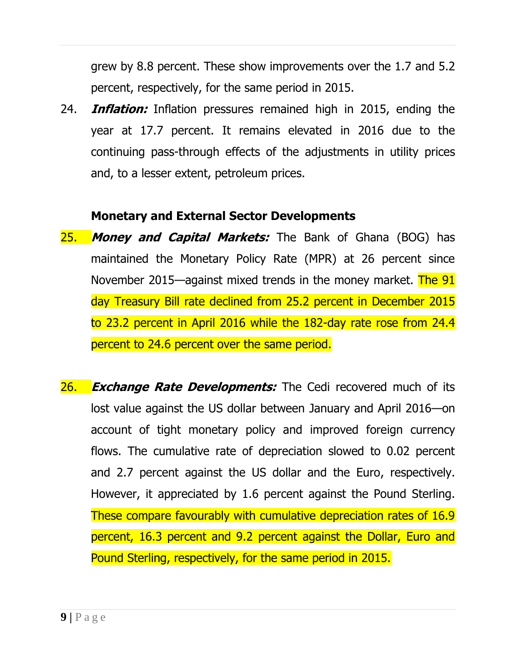grew by 8.8 percent. These show improvements over the 1.7 and 5.2 percent, respectively, for the same period in 2015.

24. **Inflation:** Inflation pressures remained high in 2015, ending the year at 17.7 percent. It remains elevated in 2016 due to the continuing pass-through effects of the adjustments in utility prices and, to a lesser extent, petroleum prices.

#### **Monetary and External Sector Developments**

- 25. **Money and Capital Markets:** The Bank of Ghana (BOG) has maintained the Monetary Policy Rate (MPR) at 26 percent since November 2015—against mixed trends in the money market. The 91 day Treasury Bill rate declined from 25.2 percent in December 2015 to 23.2 percent in April 2016 while the 182-day rate rose from 24.4 percent to 24.6 percent over the same period.
- **26.** *Exchange Rate Developments:* The Cedi recovered much of its lost value against the US dollar between January and April 2016—on account of tight monetary policy and improved foreign currency flows. The cumulative rate of depreciation slowed to 0.02 percent and 2.7 percent against the US dollar and the Euro, respectively. However, it appreciated by 1.6 percent against the Pound Sterling. These compare favourably with cumulative depreciation rates of 16.9 percent, 16.3 percent and 9.2 percent against the Dollar, Euro and Pound Sterling, respectively, for the same period in 2015.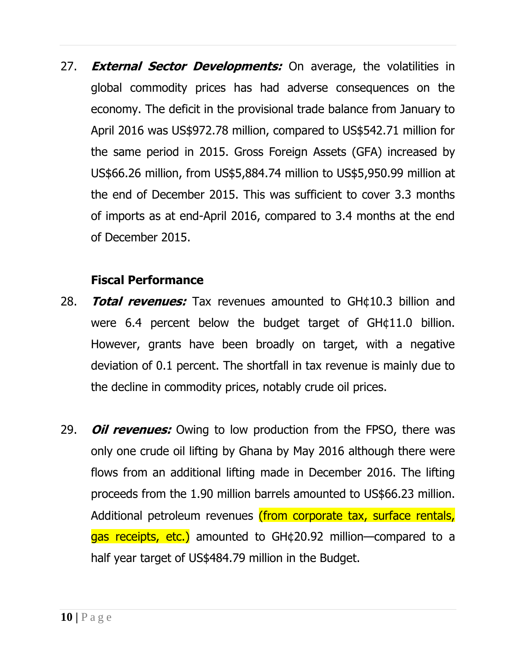27. **External Sector Developments:** On average, the volatilities in global commodity prices has had adverse consequences on the economy. The deficit in the provisional trade balance from January to April 2016 was US\$972.78 million, compared to US\$542.71 million for the same period in 2015. Gross Foreign Assets (GFA) increased by US\$66.26 million, from US\$5,884.74 million to US\$5,950.99 million at the end of December 2015. This was sufficient to cover 3.3 months of imports as at end-April 2016, compared to 3.4 months at the end of December 2015.

#### **Fiscal Performance**

- 28. **Total revenues:** Tax revenues amounted to GH¢10.3 billion and were 6.4 percent below the budget target of GH¢11.0 billion. However, grants have been broadly on target, with a negative deviation of 0.1 percent. The shortfall in tax revenue is mainly due to the decline in commodity prices, notably crude oil prices.
- 29. **Oil revenues:** Owing to low production from the FPSO, there was only one crude oil lifting by Ghana by May 2016 although there were flows from an additional lifting made in December 2016. The lifting proceeds from the 1.90 million barrels amounted to US\$66.23 million. Additional petroleum revenues (from corporate tax, surface rentals, gas receipts, etc.) amounted to GH¢20.92 million—compared to a half year target of US\$484.79 million in the Budget.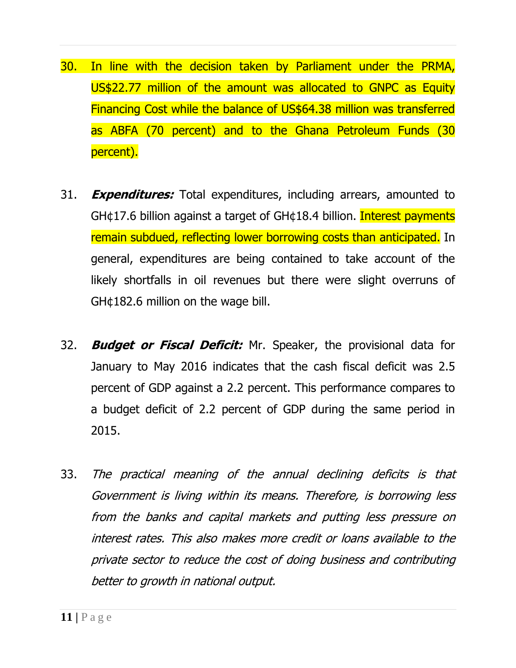- 30. In line with the decision taken by Parliament under the PRMA, US\$22.77 million of the amount was allocated to GNPC as Equity Financing Cost while the balance of US\$64.38 million was transferred as ABFA (70 percent) and to the Ghana Petroleum Funds (30 percent).
- 31. **Expenditures:** Total expenditures, including arrears, amounted to GH¢17.6 billion against a target of GH¢18.4 billion. Interest payments remain subdued, reflecting lower borrowing costs than anticipated. In general, expenditures are being contained to take account of the likely shortfalls in oil revenues but there were slight overruns of GH¢182.6 million on the wage bill.
- 32. **Budget or Fiscal Deficit:** Mr. Speaker, the provisional data for January to May 2016 indicates that the cash fiscal deficit was 2.5 percent of GDP against a 2.2 percent. This performance compares to a budget deficit of 2.2 percent of GDP during the same period in 2015.
- 33. The practical meaning of the annual declining deficits is that Government is living within its means. Therefore, is borrowing less from the banks and capital markets and putting less pressure on interest rates. This also makes more credit or loans available to the private sector to reduce the cost of doing business and contributing better to growth in national output.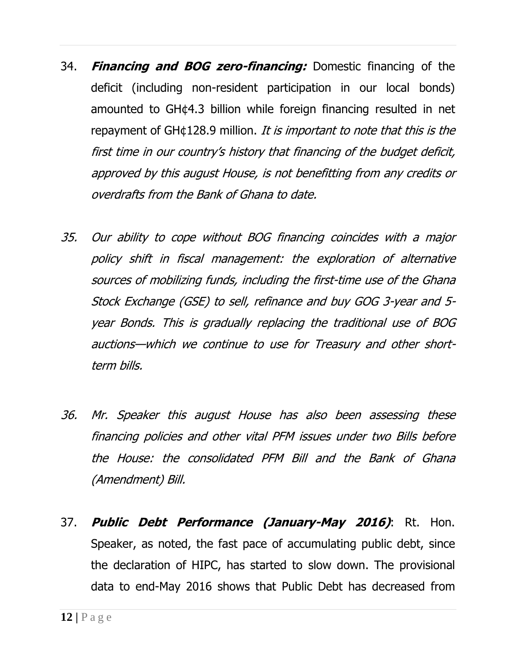- 34. **Financing and BOG zero-financing:** Domestic financing of the deficit (including non-resident participation in our local bonds) amounted to GH¢4.3 billion while foreign financing resulted in net repayment of GH¢128.9 million. It is important to note that this is the first time in our country's history that financing of the budget deficit, approved by this august House, is not benefitting from any credits or overdrafts from the Bank of Ghana to date.
- 35. Our ability to cope without BOG financing coincides with a major policy shift in fiscal management: the exploration of alternative sources of mobilizing funds, including the first-time use of the Ghana Stock Exchange (GSE) to sell, refinance and buy GOG 3-year and 5 year Bonds. This is gradually replacing the traditional use of BOG auctions—which we continue to use for Treasury and other shortterm bills.
- 36. Mr. Speaker this august House has also been assessing these financing policies and other vital PFM issues under two Bills before the House: the consolidated PFM Bill and the Bank of Ghana (Amendment) Bill.
- 37. **Public Debt Performance (January-May 2016)**: Rt. Hon. Speaker, as noted, the fast pace of accumulating public debt, since the declaration of HIPC, has started to slow down. The provisional data to end-May 2016 shows that Public Debt has decreased from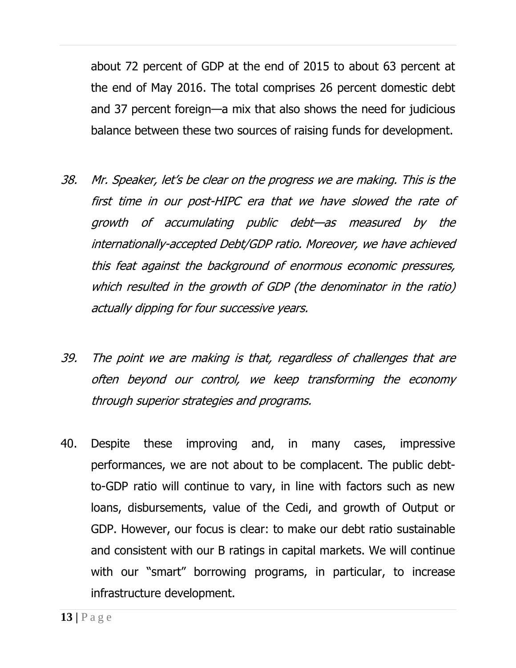about 72 percent of GDP at the end of 2015 to about 63 percent at the end of May 2016. The total comprises 26 percent domestic debt and 37 percent foreign—a mix that also shows the need for judicious balance between these two sources of raising funds for development.

- 38. Mr. Speaker, let's be clear on the progress we are making. This is the first time in our post-HIPC era that we have slowed the rate of growth of accumulating public debt—as measured by the internationally-accepted Debt/GDP ratio. Moreover, we have achieved this feat against the background of enormous economic pressures, which resulted in the growth of GDP (the denominator in the ratio) actually dipping for four successive years.
- 39. The point we are making is that, regardless of challenges that are often beyond our control, we keep transforming the economy through superior strategies and programs.
- 40. Despite these improving and, in many cases, impressive performances, we are not about to be complacent. The public debtto-GDP ratio will continue to vary, in line with factors such as new loans, disbursements, value of the Cedi, and growth of Output or GDP. However, our focus is clear: to make our debt ratio sustainable and consistent with our B ratings in capital markets. We will continue with our "smart" borrowing programs, in particular, to increase infrastructure development.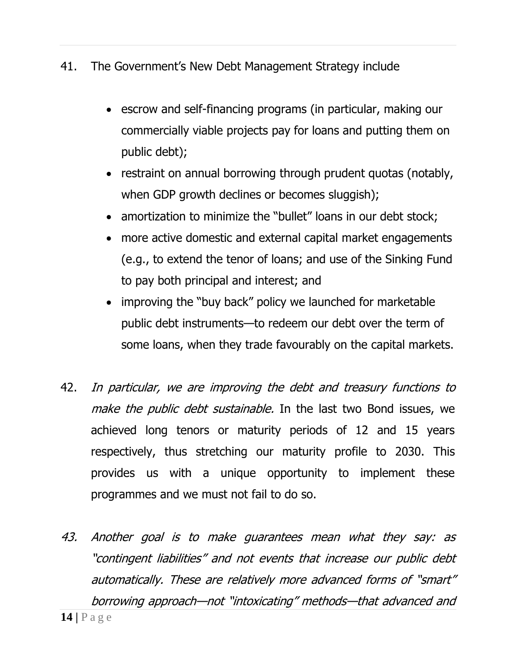- 41. The Government's New Debt Management Strategy include
	- escrow and self-financing programs (in particular, making our commercially viable projects pay for loans and putting them on public debt);
	- restraint on annual borrowing through prudent quotas (notably, when GDP growth declines or becomes sluggish);
	- amortization to minimize the "bullet" loans in our debt stock;
	- more active domestic and external capital market engagements (e.g., to extend the tenor of loans; and use of the Sinking Fund to pay both principal and interest; and
	- improving the "buy back" policy we launched for marketable public debt instruments—to redeem our debt over the term of some loans, when they trade favourably on the capital markets.
- 42. In particular, we are improving the debt and treasury functions to make the public debt sustainable. In the last two Bond issues, we achieved long tenors or maturity periods of 12 and 15 years respectively, thus stretching our maturity profile to 2030. This provides us with a unique opportunity to implement these programmes and we must not fail to do so.
- **14 |** P a g e 43. Another goal is to make guarantees mean what they say: as "contingent liabilities" and not events that increase our public debt automatically. These are relatively more advanced forms of "smart" borrowing approach—not "intoxicating" methods—that advanced and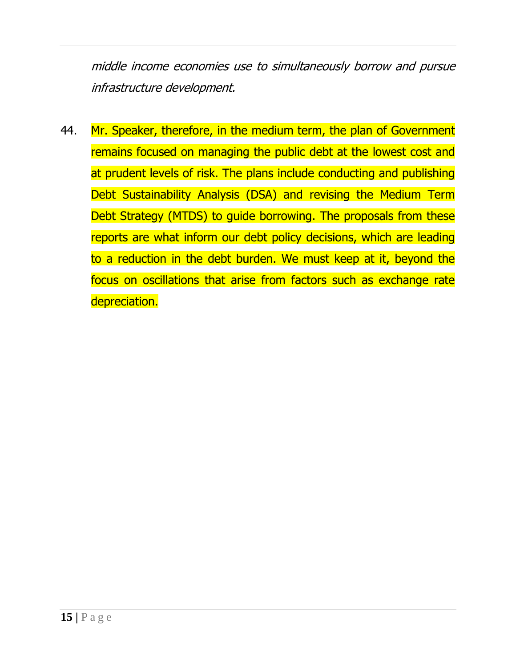middle income economies use to simultaneously borrow and pursue infrastructure development.

44. Mr. Speaker, therefore, in the medium term, the plan of Government remains focused on managing the public debt at the lowest cost and at prudent levels of risk. The plans include conducting and publishing Debt Sustainability Analysis (DSA) and revising the Medium Term Debt Strategy (MTDS) to guide borrowing. The proposals from these reports are what inform our debt policy decisions, which are leading to a reduction in the debt burden. We must keep at it, beyond the focus on oscillations that arise from factors such as exchange rate depreciation.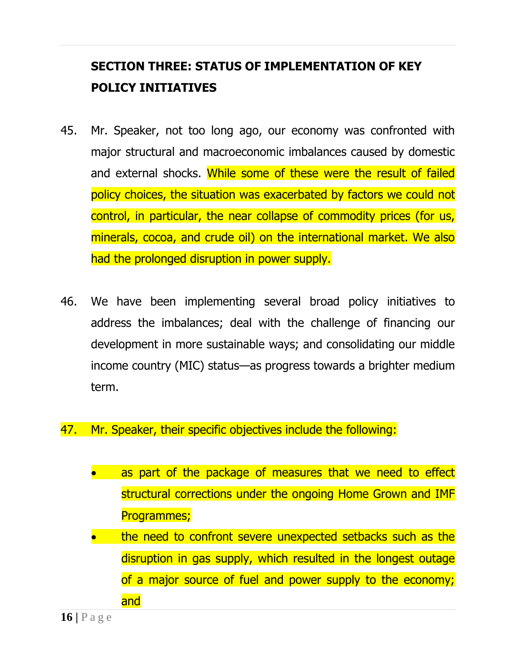## **SECTION THREE: STATUS OF IMPLEMENTATION OF KEY POLICY INITIATIVES**

- 45. Mr. Speaker, not too long ago, our economy was confronted with major structural and macroeconomic imbalances caused by domestic and external shocks. While some of these were the result of failed policy choices, the situation was exacerbated by factors we could not control, in particular, the near collapse of commodity prices (for us, minerals, cocoa, and crude oil) on the international market. We also had the prolonged disruption in power supply.
- 46. We have been implementing several broad policy initiatives to address the imbalances; deal with the challenge of financing our development in more sustainable ways; and consolidating our middle income country (MIC) status—as progress towards a brighter medium term.
- 47. Mr. Speaker, their specific objectives include the following:
	- as part of the package of measures that we need to effect structural corrections under the ongoing Home Grown and IMF Programmes;
	- the need to confront severe unexpected setbacks such as the disruption in gas supply, which resulted in the longest outage of a major source of fuel and power supply to the economy; and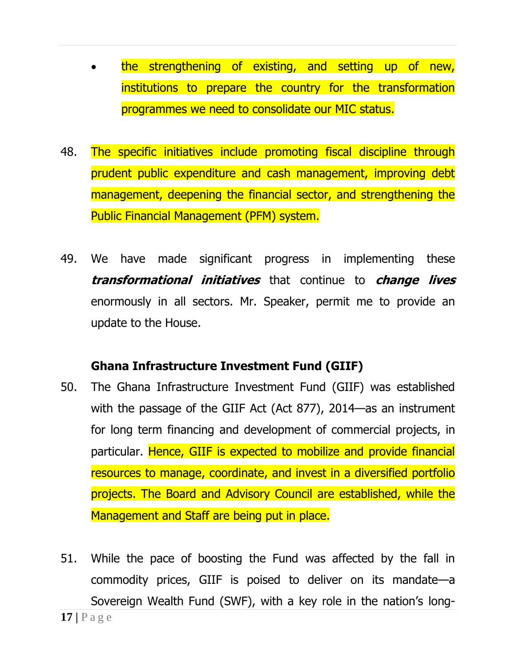- the strengthening of existing, and setting up of new, institutions to prepare the country for the transformation programmes we need to consolidate our MIC status.
- 48. The specific initiatives include promoting fiscal discipline through prudent public expenditure and cash management, improving debt management, deepening the financial sector, and strengthening the Public Financial Management (PFM) system.
- 49. We have made significant progress in implementing these **transformational initiatives** that continue to **change lives** enormously in all sectors. Mr. Speaker, permit me to provide an update to the House.

#### **Ghana Infrastructure Investment Fund (GIIF)**

- 50. The Ghana Infrastructure Investment Fund (GIIF) was established with the passage of the GIIF Act (Act 877), 2014—as an instrument for long term financing and development of commercial projects, in particular. Hence, GIIF is expected to mobilize and provide financial resources to manage, coordinate, and invest in a diversified portfolio projects. The Board and Advisory Council are established, while the Management and Staff are being put in place.
- 51. While the pace of boosting the Fund was affected by the fall in commodity prices, GIIF is poised to deliver on its mandate—a Sovereign Wealth Fund (SWF), with a key role in the nation's long-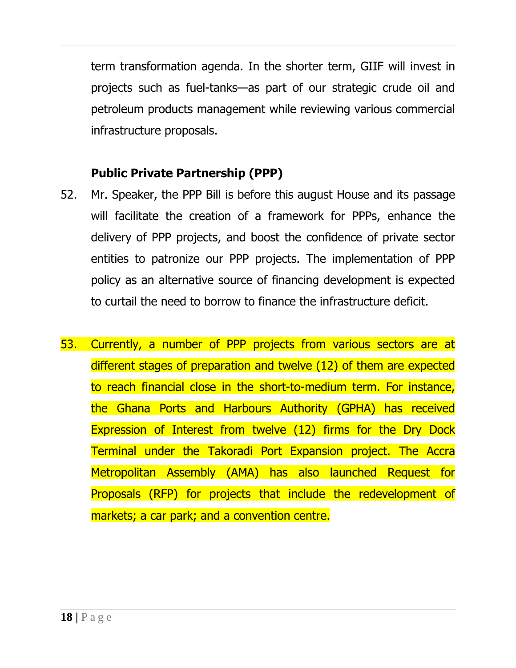term transformation agenda. In the shorter term, GIIF will invest in projects such as fuel-tanks—as part of our strategic crude oil and petroleum products management while reviewing various commercial infrastructure proposals.

## **Public Private Partnership (PPP)**

- 52. Mr. Speaker, the PPP Bill is before this august House and its passage will facilitate the creation of a framework for PPPs, enhance the delivery of PPP projects, and boost the confidence of private sector entities to patronize our PPP projects. The implementation of PPP policy as an alternative source of financing development is expected to curtail the need to borrow to finance the infrastructure deficit.
- 53. Currently, a number of PPP projects from various sectors are at different stages of preparation and twelve (12) of them are expected to reach financial close in the short-to-medium term. For instance, the Ghana Ports and Harbours Authority (GPHA) has received Expression of Interest from twelve (12) firms for the Dry Dock Terminal under the Takoradi Port Expansion project. The Accra Metropolitan Assembly (AMA) has also launched Request for Proposals (RFP) for projects that include the redevelopment of markets; a car park; and a convention centre.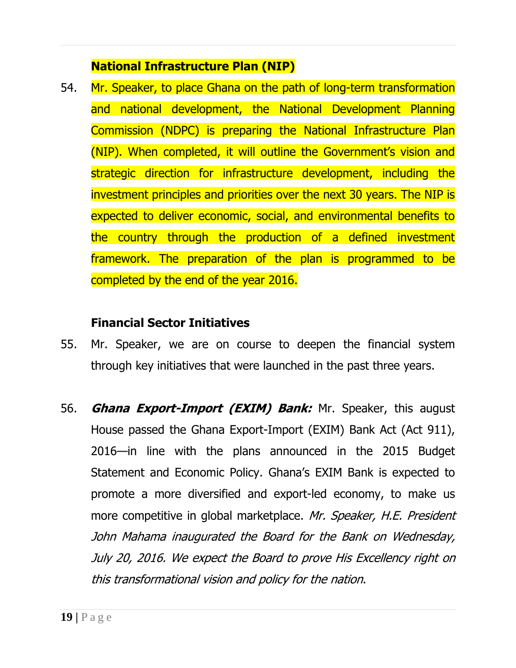## **National Infrastructure Plan (NIP)**

54. Mr. Speaker, to place Ghana on the path of long-term transformation and national development, the National Development Planning Commission (NDPC) is preparing the National Infrastructure Plan (NIP). When completed, it will outline the Government's vision and strategic direction for infrastructure development, including the investment principles and priorities over the next 30 years. The NIP is expected to deliver economic, social, and environmental benefits to the country through the production of a defined investment framework. The preparation of the plan is programmed to be completed by the end of the year 2016.

## **Financial Sector Initiatives**

- 55. Mr. Speaker, we are on course to deepen the financial system through key initiatives that were launched in the past three years.
- 56. **Ghana Export-Import (EXIM) Bank:** Mr. Speaker, this august House passed the Ghana Export-Import (EXIM) Bank Act (Act 911), 2016—in line with the plans announced in the 2015 Budget Statement and Economic Policy. Ghana's EXIM Bank is expected to promote a more diversified and export-led economy, to make us more competitive in global marketplace. Mr. Speaker, H.E. President John Mahama inaugurated the Board for the Bank on Wednesday, July 20, 2016. We expect the Board to prove His Excellency right on this transformational vision and policy for the nation.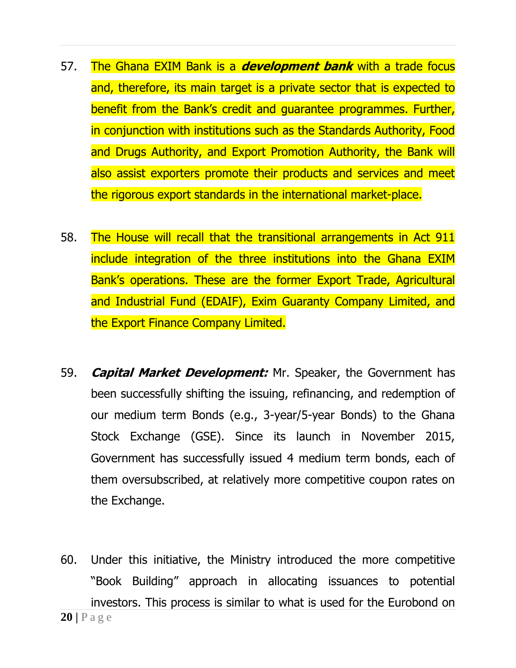- 57. The Ghana EXIM Bank is a **development bank** with a trade focus and, therefore, its main target is a private sector that is expected to benefit from the Bank's credit and guarantee programmes. Further, in conjunction with institutions such as the Standards Authority, Food and Drugs Authority, and Export Promotion Authority, the Bank will also assist exporters promote their products and services and meet the rigorous export standards in the international market-place.
- 58. The House will recall that the transitional arrangements in Act 911 include integration of the three institutions into the Ghana EXIM Bank's operations. These are the former Export Trade, Agricultural and Industrial Fund (EDAIF), Exim Guaranty Company Limited, and the Export Finance Company Limited.
- 59. **Capital Market Development:** Mr. Speaker, the Government has been successfully shifting the issuing, refinancing, and redemption of our medium term Bonds (e.g., 3-year/5-year Bonds) to the Ghana Stock Exchange (GSE). Since its launch in November 2015, Government has successfully issued 4 medium term bonds, each of them oversubscribed, at relatively more competitive coupon rates on the Exchange.
- **20 |** P a g e 60. Under this initiative, the Ministry introduced the more competitive "Book Building" approach in allocating issuances to potential investors. This process is similar to what is used for the Eurobond on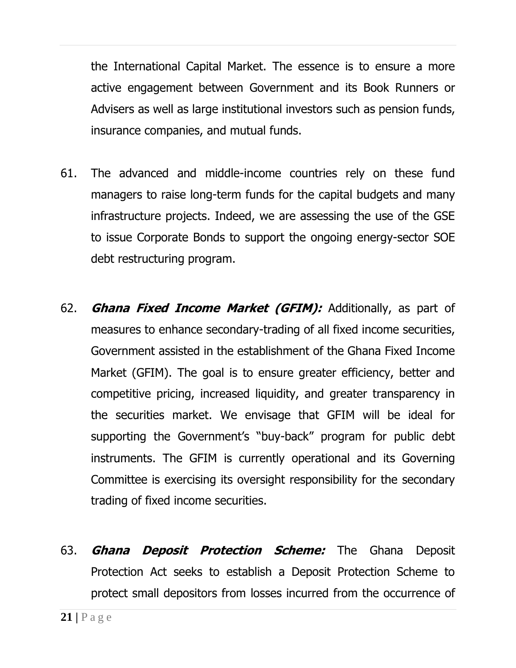the International Capital Market. The essence is to ensure a more active engagement between Government and its Book Runners or Advisers as well as large institutional investors such as pension funds, insurance companies, and mutual funds.

- 61. The advanced and middle-income countries rely on these fund managers to raise long-term funds for the capital budgets and many infrastructure projects. Indeed, we are assessing the use of the GSE to issue Corporate Bonds to support the ongoing energy-sector SOE debt restructuring program.
- 62. **Ghana Fixed Income Market (GFIM):** Additionally, as part of measures to enhance secondary-trading of all fixed income securities, Government assisted in the establishment of the Ghana Fixed Income Market (GFIM). The goal is to ensure greater efficiency, better and competitive pricing, increased liquidity, and greater transparency in the securities market. We envisage that GFIM will be ideal for supporting the Government's "buy-back" program for public debt instruments. The GFIM is currently operational and its Governing Committee is exercising its oversight responsibility for the secondary trading of fixed income securities.
- 63. **Ghana Deposit Protection Scheme:** The Ghana Deposit Protection Act seeks to establish a Deposit Protection Scheme to protect small depositors from losses incurred from the occurrence of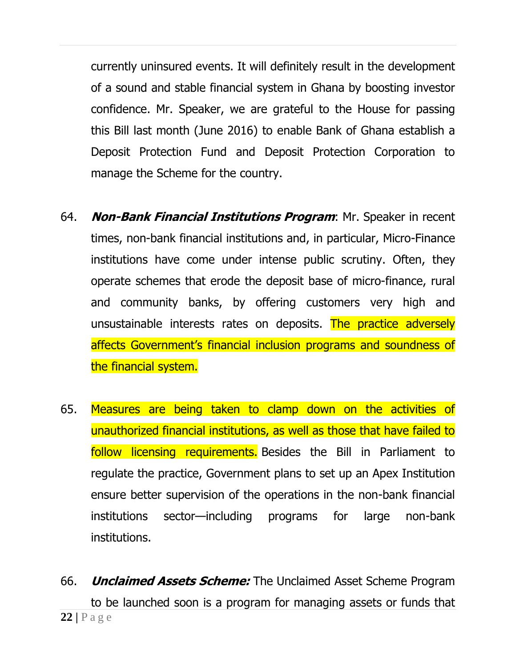currently uninsured events. It will definitely result in the development of a sound and stable financial system in Ghana by boosting investor confidence. Mr. Speaker, we are grateful to the House for passing this Bill last month (June 2016) to enable Bank of Ghana establish a Deposit Protection Fund and Deposit Protection Corporation to manage the Scheme for the country.

- 64. **Non-Bank Financial Institutions Program**: Mr. Speaker in recent times, non-bank financial institutions and, in particular, Micro-Finance institutions have come under intense public scrutiny. Often, they operate schemes that erode the deposit base of micro-finance, rural and community banks, by offering customers very high and unsustainable interests rates on deposits. The practice adversely affects Government's financial inclusion programs and soundness of the financial system.
- 65. Measures are being taken to clamp down on the activities of unauthorized financial institutions, as well as those that have failed to follow licensing requirements. Besides the Bill in Parliament to regulate the practice, Government plans to set up an Apex Institution ensure better supervision of the operations in the non-bank financial institutions sector—including programs for large non-bank institutions.
- **22 |** P a g e 66. **Unclaimed Assets Scheme:** The Unclaimed Asset Scheme Program to be launched soon is a program for managing assets or funds that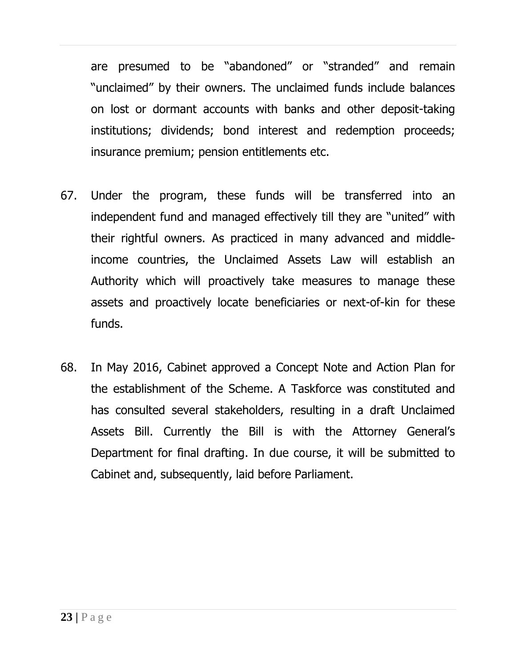are presumed to be "abandoned" or "stranded" and remain "unclaimed" by their owners. The unclaimed funds include balances on lost or dormant accounts with banks and other deposit-taking institutions; dividends; bond interest and redemption proceeds; insurance premium; pension entitlements etc.

- 67. Under the program, these funds will be transferred into an independent fund and managed effectively till they are "united" with their rightful owners. As practiced in many advanced and middleincome countries, the Unclaimed Assets Law will establish an Authority which will proactively take measures to manage these assets and proactively locate beneficiaries or next-of-kin for these funds.
- 68. In May 2016, Cabinet approved a Concept Note and Action Plan for the establishment of the Scheme. A Taskforce was constituted and has consulted several stakeholders, resulting in a draft Unclaimed Assets Bill. Currently the Bill is with the Attorney General's Department for final drafting. In due course, it will be submitted to Cabinet and, subsequently, laid before Parliament.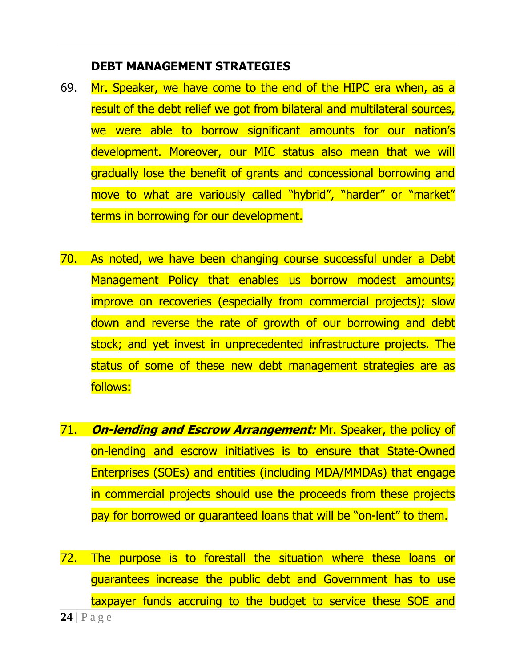#### **DEBT MANAGEMENT STRATEGIES**

- 69. Mr. Speaker, we have come to the end of the HIPC era when, as a result of the debt relief we got from bilateral and multilateral sources, we were able to borrow significant amounts for our nation's development. Moreover, our MIC status also mean that we will gradually lose the benefit of grants and concessional borrowing and move to what are variously called "hybrid", "harder" or "market" terms in borrowing for our development.
- 70. As noted, we have been changing course successful under a Debt Management Policy that enables us borrow modest amounts; improve on recoveries (especially from commercial projects); slow down and reverse the rate of growth of our borrowing and debt stock; and yet invest in unprecedented infrastructure projects. The status of some of these new debt management strategies are as follows:
- 71. **On-lending and Escrow Arrangement:** Mr. Speaker, the policy of on-lending and escrow initiatives is to ensure that State-Owned Enterprises (SOEs) and entities (including MDA/MMDAs) that engage in commercial projects should use the proceeds from these projects pay for borrowed or guaranteed loans that will be "on-lent" to them.
- **24 |** P a g e 72. The purpose is to forestall the situation where these loans or guarantees increase the public debt and Government has to use taxpayer funds accruing to the budget to service these SOE and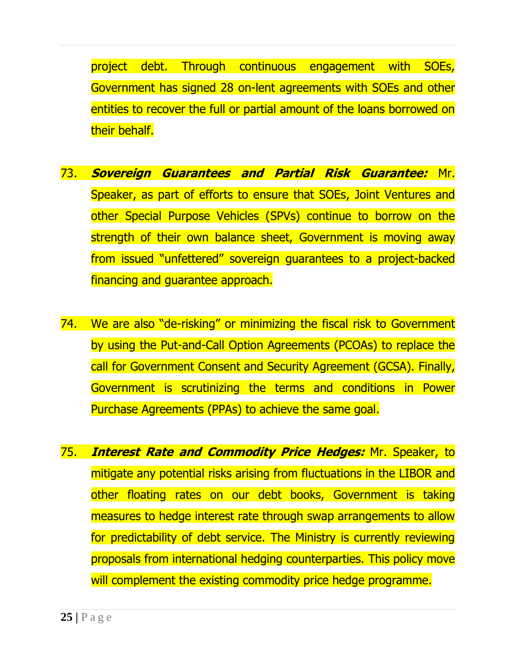project debt. Through continuous engagement with SOEs, Government has signed 28 on-lent agreements with SOEs and other entities to recover the full or partial amount of the loans borrowed on their behalf.

- 73. **Sovereign Guarantees and Partial Risk Guarantee:** Mr. Speaker, as part of efforts to ensure that SOEs, Joint Ventures and other Special Purpose Vehicles (SPVs) continue to borrow on the strength of their own balance sheet, Government is moving away from issued "unfettered" sovereign guarantees to a project-backed financing and guarantee approach.
- 74. We are also "de-risking" or minimizing the fiscal risk to Government by using the Put-and-Call Option Agreements (PCOAs) to replace the call for Government Consent and Security Agreement (GCSA). Finally, Government is scrutinizing the terms and conditions in Power Purchase Agreements (PPAs) to achieve the same goal.
- 75. **Interest Rate and Commodity Price Hedges:** Mr. Speaker, to mitigate any potential risks arising from fluctuations in the LIBOR and other floating rates on our debt books, Government is taking measures to hedge interest rate through swap arrangements to allow for predictability of debt service. The Ministry is currently reviewing proposals from international hedging counterparties. This policy move will complement the existing commodity price hedge programme.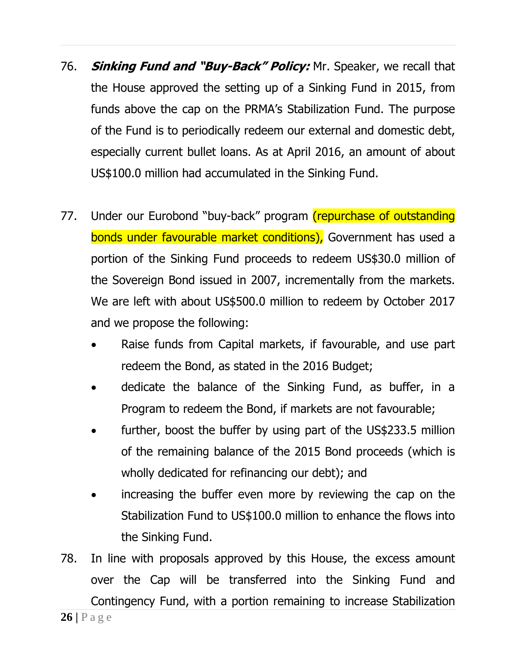- 76. **Sinking Fund and "Buy-Back" Policy:** Mr. Speaker, we recall that the House approved the setting up of a Sinking Fund in 2015, from funds above the cap on the PRMA's Stabilization Fund. The purpose of the Fund is to periodically redeem our external and domestic debt, especially current bullet loans. As at April 2016, an amount of about US\$100.0 million had accumulated in the Sinking Fund.
- 77. Under our Eurobond "buy-back" program (repurchase of outstanding bonds under favourable market conditions), Government has used a portion of the Sinking Fund proceeds to redeem US\$30.0 million of the Sovereign Bond issued in 2007, incrementally from the markets. We are left with about US\$500.0 million to redeem by October 2017 and we propose the following:
	- Raise funds from Capital markets, if favourable, and use part redeem the Bond, as stated in the 2016 Budget;
	- dedicate the balance of the Sinking Fund, as buffer, in a Program to redeem the Bond, if markets are not favourable;
	- further, boost the buffer by using part of the US\$233.5 million of the remaining balance of the 2015 Bond proceeds (which is wholly dedicated for refinancing our debt); and
	- increasing the buffer even more by reviewing the cap on the Stabilization Fund to US\$100.0 million to enhance the flows into the Sinking Fund.
- 78. In line with proposals approved by this House, the excess amount over the Cap will be transferred into the Sinking Fund and Contingency Fund, with a portion remaining to increase Stabilization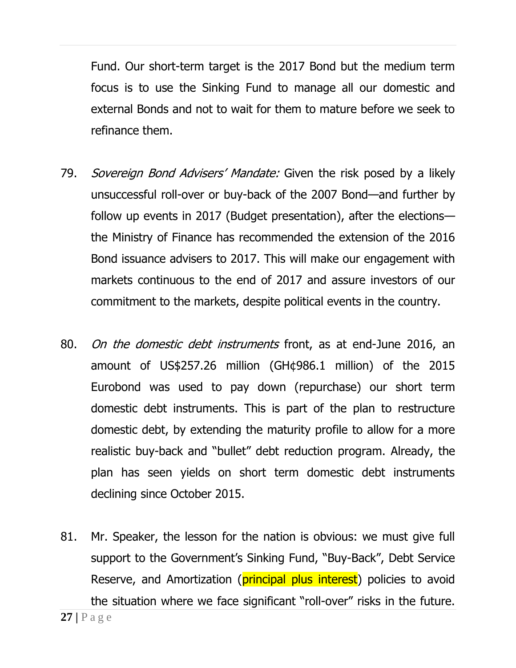Fund. Our short-term target is the 2017 Bond but the medium term focus is to use the Sinking Fund to manage all our domestic and external Bonds and not to wait for them to mature before we seek to refinance them.

- 79. Sovereign Bond Advisers' Mandate: Given the risk posed by a likely unsuccessful roll-over or buy-back of the 2007 Bond—and further by follow up events in 2017 (Budget presentation), after the elections the Ministry of Finance has recommended the extension of the 2016 Bond issuance advisers to 2017. This will make our engagement with markets continuous to the end of 2017 and assure investors of our commitment to the markets, despite political events in the country.
- 80. On the domestic debt instruments front, as at end-June 2016, an amount of US\$257.26 million (GH¢986.1 million) of the 2015 Eurobond was used to pay down (repurchase) our short term domestic debt instruments. This is part of the plan to restructure domestic debt, by extending the maturity profile to allow for a more realistic buy-back and "bullet" debt reduction program. Already, the plan has seen yields on short term domestic debt instruments declining since October 2015.
- 81. Mr. Speaker, the lesson for the nation is obvious: we must give full support to the Government's Sinking Fund, "Buy-Back", Debt Service Reserve, and Amortization (**principal plus interest**) policies to avoid the situation where we face significant "roll-over" risks in the future.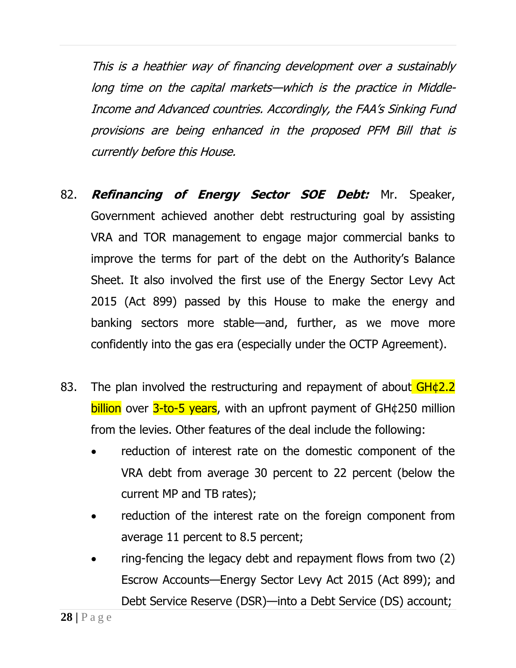This is a heathier way of financing development over a sustainably long time on the capital markets—which is the practice in Middle-Income and Advanced countries. Accordingly, the FAA's Sinking Fund provisions are being enhanced in the proposed PFM Bill that is currently before this House.

- 82. **Refinancing of Energy Sector SOE Debt:** Mr. Speaker, Government achieved another debt restructuring goal by assisting VRA and TOR management to engage major commercial banks to improve the terms for part of the debt on the Authority's Balance Sheet. It also involved the first use of the Energy Sector Levy Act 2015 (Act 899) passed by this House to make the energy and banking sectors more stable—and, further, as we move more confidently into the gas era (especially under the OCTP Agreement).
- 83. The plan involved the restructuring and repayment of about  $GH \& 2.2$  $b$ illion over  $3$ -to-5 years, with an upfront payment of GH $\phi$ 250 million from the levies. Other features of the deal include the following:
	- reduction of interest rate on the domestic component of the VRA debt from average 30 percent to 22 percent (below the current MP and TB rates);
	- reduction of the interest rate on the foreign component from average 11 percent to 8.5 percent;
	- ring-fencing the legacy debt and repayment flows from two (2) Escrow Accounts—Energy Sector Levy Act 2015 (Act 899); and Debt Service Reserve (DSR)—into a Debt Service (DS) account;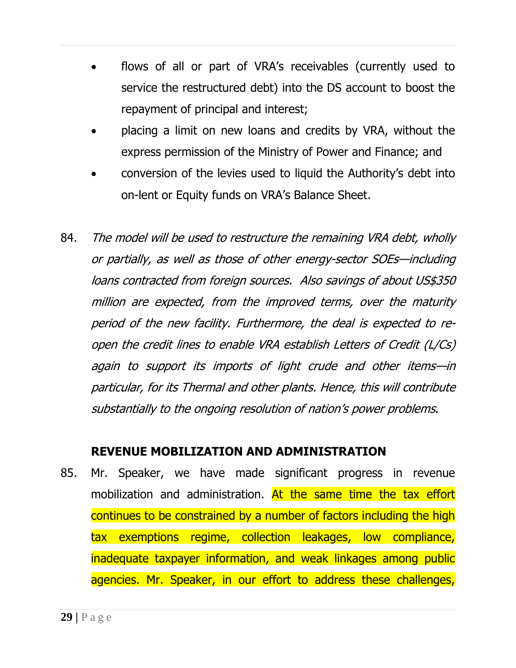- flows of all or part of VRA's receivables (currently used to service the restructured debt) into the DS account to boost the repayment of principal and interest;
- placing a limit on new loans and credits by VRA, without the express permission of the Ministry of Power and Finance; and
- conversion of the levies used to liquid the Authority's debt into on-lent or Equity funds on VRA's Balance Sheet.
- 84. The model will be used to restructure the remaining VRA debt, wholly or partially, as well as those of other energy-sector SOEs—including loans contracted from foreign sources. Also savings of about US\$350 million are expected, from the improved terms, over the maturity period of the new facility. Furthermore, the deal is expected to reopen the credit lines to enable VRA establish Letters of Credit (L/Cs) again to support its imports of light crude and other items—in particular, for its Thermal and other plants. Hence, this will contribute substantially to the ongoing resolution of nation's power problems.

#### **REVENUE MOBILIZATION AND ADMINISTRATION**

85. Mr. Speaker, we have made significant progress in revenue mobilization and administration. At the same time the tax effort continues to be constrained by a number of factors including the high tax exemptions regime, collection leakages, low compliance, inadequate taxpayer information, and weak linkages among public agencies. Mr. Speaker, in our effort to address these challenges,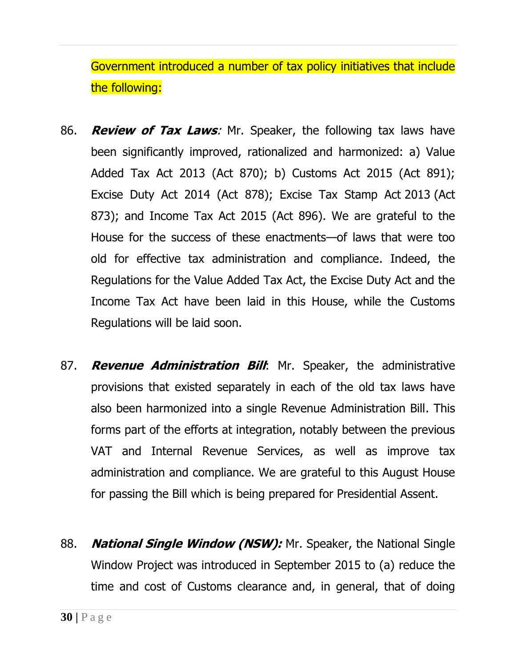Government introduced a number of tax policy initiatives that include the following:

- 86. **Review of Tax Laws**: Mr. Speaker, the following tax laws have been significantly improved, rationalized and harmonized: a) Value Added Tax Act 2013 (Act 870); b) Customs Act 2015 (Act 891); Excise Duty Act 2014 (Act 878); Excise Tax Stamp Act 2013 (Act 873); and Income Tax Act 2015 (Act 896). We are grateful to the House for the success of these enactments—of laws that were too old for effective tax administration and compliance. Indeed, the Regulations for the Value Added Tax Act, the Excise Duty Act and the Income Tax Act have been laid in this House, while the Customs Regulations will be laid soon.
- 87. **Revenue Administration Bill**: Mr. Speaker, the administrative provisions that existed separately in each of the old tax laws have also been harmonized into a single Revenue Administration Bill. This forms part of the efforts at integration, notably between the previous VAT and Internal Revenue Services, as well as improve tax administration and compliance. We are grateful to this August House for passing the Bill which is being prepared for Presidential Assent.
- 88. **National Single Window (NSW):** Mr. Speaker, the National Single Window Project was introduced in September 2015 to (a) reduce the time and cost of Customs clearance and, in general, that of doing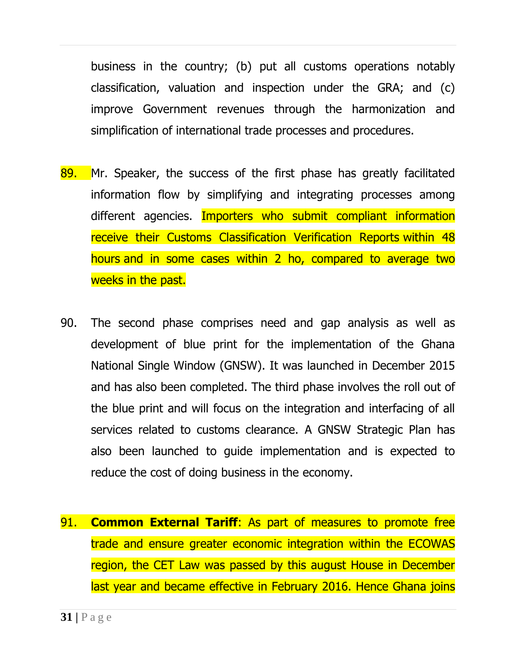business in the country; (b) put all customs operations notably classification, valuation and inspection under the GRA; and (c) improve Government revenues through the harmonization and simplification of international trade processes and procedures.

- 89. Mr. Speaker, the success of the first phase has greatly facilitated information flow by simplifying and integrating processes among different agencies. Importers who submit compliant information receive their Customs Classification Verification Reports within 48 hours and in some cases within 2 ho, compared to average two weeks in the past.
- 90. The second phase comprises need and gap analysis as well as development of blue print for the implementation of the Ghana National Single Window (GNSW). It was launched in December 2015 and has also been completed. The third phase involves the roll out of the blue print and will focus on the integration and interfacing of all services related to customs clearance. A GNSW Strategic Plan has also been launched to guide implementation and is expected to reduce the cost of doing business in the economy.
- 91. **Common External Tariff**: As part of measures to promote free trade and ensure greater economic integration within the ECOWAS region, the CET Law was passed by this august House in December last year and became effective in February 2016. Hence Ghana joins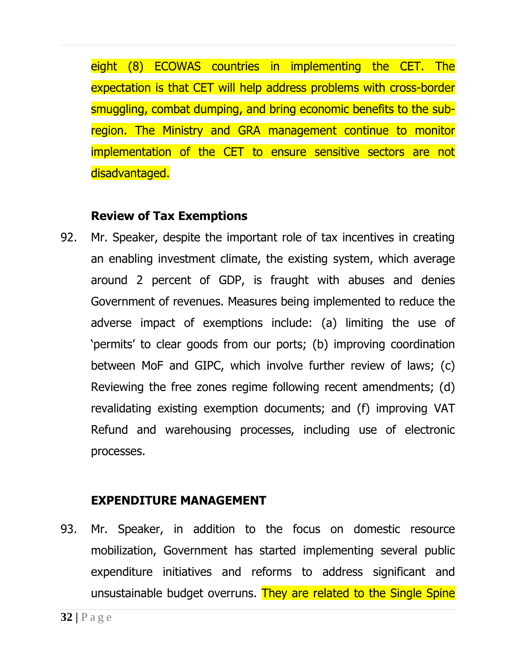eight (8) ECOWAS countries in implementing the CET. The expectation is that CET will help address problems with cross-border smuggling, combat dumping, and bring economic benefits to the subregion. The Ministry and GRA management continue to monitor implementation of the CET to ensure sensitive sectors are not disadvantaged.

#### **Review of Tax Exemptions**

92. Mr. Speaker, despite the important role of tax incentives in creating an enabling investment climate, the existing system, which average around 2 percent of GDP, is fraught with abuses and denies Government of revenues. Measures being implemented to reduce the adverse impact of exemptions include: (a) limiting the use of 'permits' to clear goods from our ports; (b) improving coordination between MoF and GIPC, which involve further review of laws; (c) Reviewing the free zones regime following recent amendments; (d) revalidating existing exemption documents; and (f) improving VAT Refund and warehousing processes, including use of electronic processes.

## **EXPENDITURE MANAGEMENT**

93. Mr. Speaker, in addition to the focus on domestic resource mobilization, Government has started implementing several public expenditure initiatives and reforms to address significant and unsustainable budget overruns. They are related to the Single Spine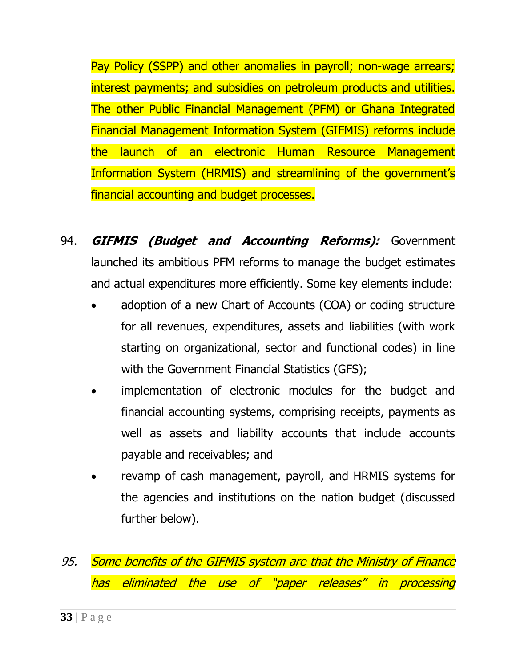Pay Policy (SSPP) and other anomalies in payroll; non-wage arrears; interest payments; and subsidies on petroleum products and utilities. The other Public Financial Management (PFM) or Ghana Integrated Financial Management Information System (GIFMIS) reforms include the launch of an electronic Human Resource Management Information System (HRMIS) and streamlining of the government's financial accounting and budget processes.

- 94. **GIFMIS (Budget and Accounting Reforms):** Government launched its ambitious PFM reforms to manage the budget estimates and actual expenditures more efficiently. Some key elements include:
	- adoption of a new Chart of Accounts (COA) or coding structure for all revenues, expenditures, assets and liabilities (with work starting on organizational, sector and functional codes) in line with the Government Financial Statistics (GFS);
	- implementation of electronic modules for the budget and financial accounting systems, comprising receipts, payments as well as assets and liability accounts that include accounts payable and receivables; and
	- revamp of cash management, payroll, and HRMIS systems for the agencies and institutions on the nation budget (discussed further below).
- 95. Some benefits of the GIFMIS system are that the Ministry of Finance has eliminated the use of "paper releases" in processing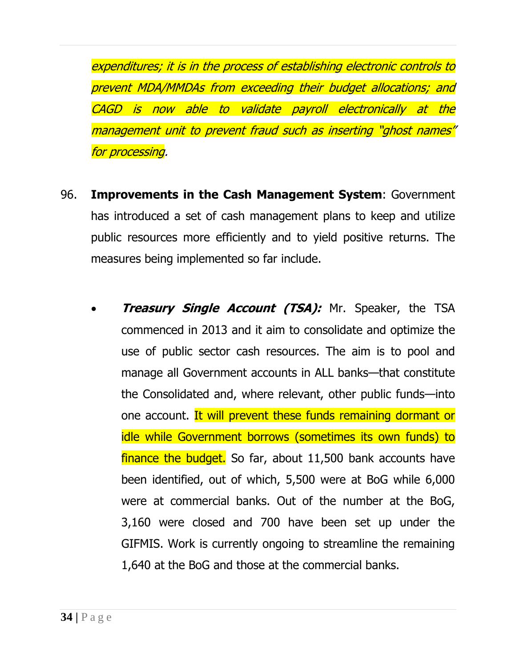expenditures; it is in the process of establishing electronic controls to prevent MDA/MMDAs from exceeding their budget allocations; and CAGD is now able to validate payroll electronically at the management unit to prevent fraud such as inserting "ghost names" for processing.

- 96. **Improvements in the Cash Management System**: Government has introduced a set of cash management plans to keep and utilize public resources more efficiently and to yield positive returns. The measures being implemented so far include.
	- **Treasury Single Account (TSA):** Mr. Speaker, the TSA commenced in 2013 and it aim to consolidate and optimize the use of public sector cash resources. The aim is to pool and manage all Government accounts in ALL banks—that constitute the Consolidated and, where relevant, other public funds—into one account. It will prevent these funds remaining dormant or idle while Government borrows (sometimes its own funds) to finance the budget. So far, about 11,500 bank accounts have been identified, out of which, 5,500 were at BoG while 6,000 were at commercial banks. Out of the number at the BoG, 3,160 were closed and 700 have been set up under the GIFMIS. Work is currently ongoing to streamline the remaining 1,640 at the BoG and those at the commercial banks.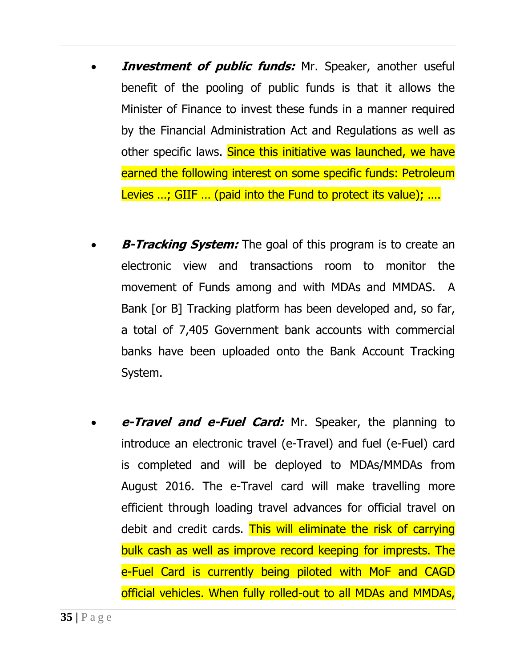- **Investment of public funds:** Mr. Speaker, another useful benefit of the pooling of public funds is that it allows the Minister of Finance to invest these funds in a manner required by the Financial Administration Act and Regulations as well as other specific laws. Since this initiative was launched, we have earned the following interest on some specific funds: Petroleum Levies ...; GIIF ... (paid into the Fund to protect its value); ....
- **B-Tracking System:** The goal of this program is to create an electronic view and transactions room to monitor the movement of Funds among and with MDAs and MMDAS. A Bank [or B] Tracking platform has been developed and, so far, a total of 7,405 Government bank accounts with commercial banks have been uploaded onto the Bank Account Tracking System.
- **e-Travel and e-Fuel Card:** Mr. Speaker, the planning to introduce an electronic travel (e-Travel) and fuel (e-Fuel) card is completed and will be deployed to MDAs/MMDAs from August 2016. The e-Travel card will make travelling more efficient through loading travel advances for official travel on debit and credit cards. This will eliminate the risk of carrying bulk cash as well as improve record keeping for imprests. The e-Fuel Card is currently being piloted with MoF and CAGD official vehicles. When fully rolled-out to all MDAs and MMDAs,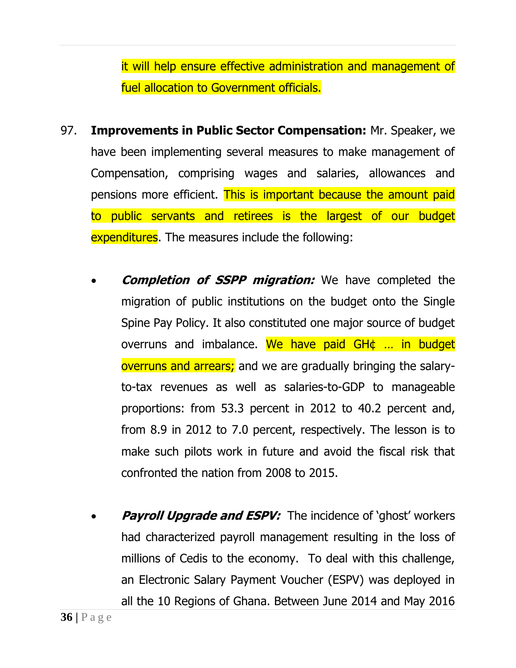it will help ensure effective administration and management of fuel allocation to Government officials.

- 97. **Improvements in Public Sector Compensation:** Mr. Speaker, we have been implementing several measures to make management of Compensation, comprising wages and salaries, allowances and pensions more efficient. This is important because the amount paid to public servants and retirees is the largest of our budget expenditures. The measures include the following:
	- **Completion of SSPP migration:** We have completed the migration of public institutions on the budget onto the Single Spine Pay Policy. It also constituted one major source of budget overruns and imbalance. We have paid GH¢ ... in budget overruns and arrears; and we are gradually bringing the salaryto-tax revenues as well as salaries-to-GDP to manageable proportions: from 53.3 percent in 2012 to 40.2 percent and, from 8.9 in 2012 to 7.0 percent, respectively. The lesson is to make such pilots work in future and avoid the fiscal risk that confronted the nation from 2008 to 2015.
	- **Payroll Upgrade and ESPV:** The incidence of 'ghost' workers had characterized payroll management resulting in the loss of millions of Cedis to the economy. To deal with this challenge, an Electronic Salary Payment Voucher (ESPV) was deployed in all the 10 Regions of Ghana. Between June 2014 and May 2016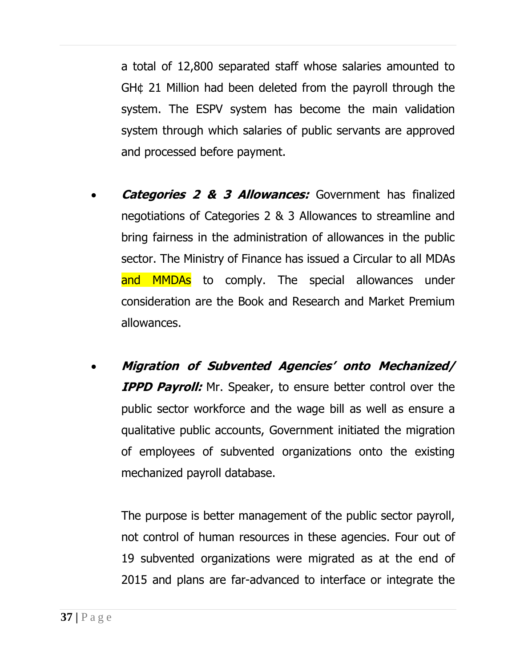a total of 12,800 separated staff whose salaries amounted to GH¢ 21 Million had been deleted from the payroll through the system. The ESPV system has become the main validation system through which salaries of public servants are approved and processed before payment.

- **Categories 2 & 3 Allowances:** Government has finalized negotiations of Categories 2 & 3 Allowances to streamline and bring fairness in the administration of allowances in the public sector. The Ministry of Finance has issued a Circular to all MDAs and MMDAs to comply. The special allowances under consideration are the Book and Research and Market Premium allowances.
- **Migration of Subvented Agencies' onto Mechanized/ IPPD Payroll:** Mr. Speaker, to ensure better control over the public sector workforce and the wage bill as well as ensure a qualitative public accounts, Government initiated the migration of employees of subvented organizations onto the existing mechanized payroll database.

The purpose is better management of the public sector payroll, not control of human resources in these agencies. Four out of 19 subvented organizations were migrated as at the end of 2015 and plans are far-advanced to interface or integrate the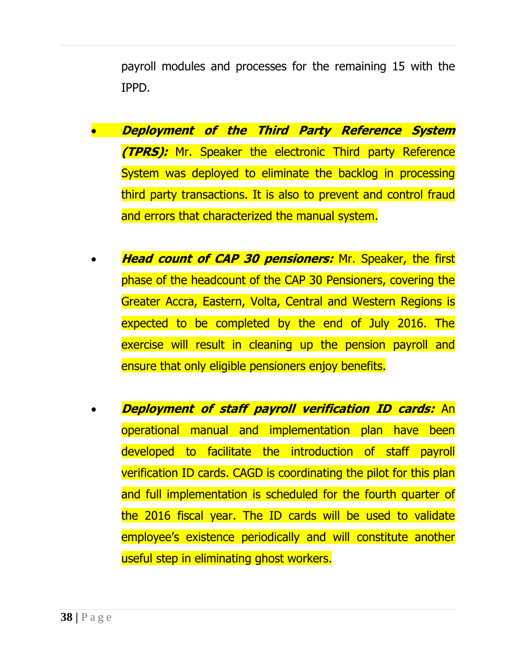payroll modules and processes for the remaining 15 with the IPPD.

- **Deployment of the Third Party Reference System (TPRS):** Mr. Speaker the electronic Third party Reference System was deployed to eliminate the backlog in processing third party transactions. It is also to prevent and control fraud and errors that characterized the manual system.
- **Head count of CAP 30 pensioners:** Mr. Speaker, the first phase of the headcount of the CAP 30 Pensioners, covering the Greater Accra, Eastern, Volta, Central and Western Regions is expected to be completed by the end of July 2016. The exercise will result in cleaning up the pension payroll and ensure that only eligible pensioners enjoy benefits.
- **Deployment of staff payroll verification ID cards:** An operational manual and implementation plan have been developed to facilitate the introduction of staff payroll verification ID cards. CAGD is coordinating the pilot for this plan and full implementation is scheduled for the fourth quarter of the 2016 fiscal year. The ID cards will be used to validate employee's existence periodically and will constitute another useful step in eliminating ghost workers.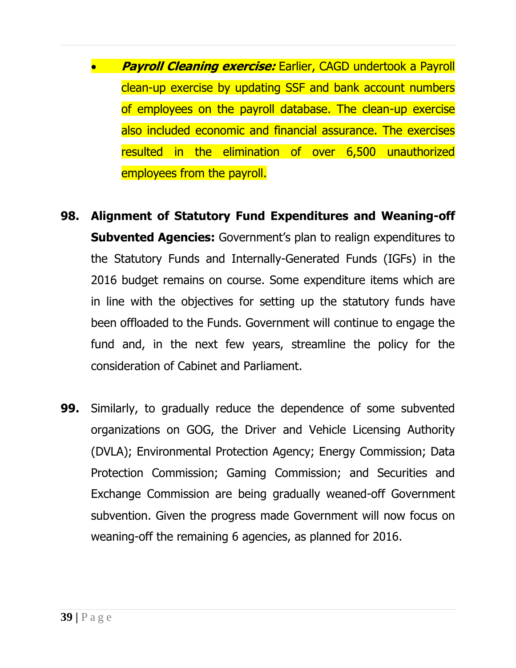- **Payroll Cleaning exercise:** Earlier, CAGD undertook a Payroll clean-up exercise by updating SSF and bank account numbers of employees on the payroll database. The clean-up exercise also included economic and financial assurance. The exercises resulted in the elimination of over 6,500 unauthorized employees from the payroll.
- **98. Alignment of Statutory Fund Expenditures and Weaning-off Subvented Agencies:** Government's plan to realign expenditures to the Statutory Funds and Internally-Generated Funds (IGFs) in the 2016 budget remains on course. Some expenditure items which are in line with the objectives for setting up the statutory funds have been offloaded to the Funds. Government will continue to engage the fund and, in the next few years, streamline the policy for the consideration of Cabinet and Parliament.
- **99.** Similarly, to gradually reduce the dependence of some subvented organizations on GOG, the Driver and Vehicle Licensing Authority (DVLA); Environmental Protection Agency; Energy Commission; Data Protection Commission; Gaming Commission; and Securities and Exchange Commission are being gradually weaned-off Government subvention. Given the progress made Government will now focus on weaning-off the remaining 6 agencies, as planned for 2016.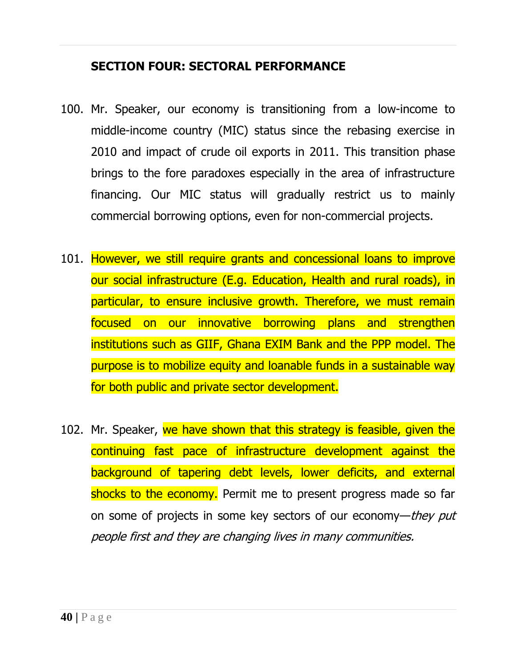#### **SECTION FOUR: SECTORAL PERFORMANCE**

- 100. Mr. Speaker, our economy is transitioning from a low-income to middle-income country (MIC) status since the rebasing exercise in 2010 and impact of crude oil exports in 2011. This transition phase brings to the fore paradoxes especially in the area of infrastructure financing. Our MIC status will gradually restrict us to mainly commercial borrowing options, even for non-commercial projects.
- 101. However, we still require grants and concessional loans to improve our social infrastructure (E.g. Education, Health and rural roads), in particular, to ensure inclusive growth. Therefore, we must remain focused on our innovative borrowing plans and strengthen institutions such as GIIF, Ghana EXIM Bank and the PPP model. The purpose is to mobilize equity and loanable funds in a sustainable way for both public and private sector development.
- 102. Mr. Speaker, we have shown that this strategy is feasible, given the continuing fast pace of infrastructure development against the background of tapering debt levels, lower deficits, and external shocks to the economy. Permit me to present progress made so far on some of projects in some key sectors of our economy—they put people first and they are changing lives in many communities.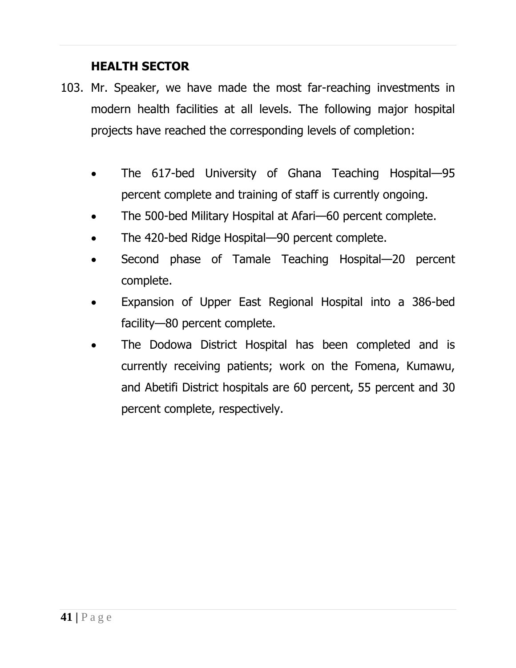## **HEALTH SECTOR**

- 103. Mr. Speaker, we have made the most far-reaching investments in modern health facilities at all levels. The following major hospital projects have reached the corresponding levels of completion:
	- The 617-bed University of Ghana Teaching Hospital-95 percent complete and training of staff is currently ongoing.
	- The 500-bed Military Hospital at Afari—60 percent complete.
	- The 420-bed Ridge Hospital—90 percent complete.
	- Second phase of Tamale Teaching Hospital—20 percent complete.
	- Expansion of Upper East Regional Hospital into a 386-bed facility—80 percent complete.
	- The Dodowa District Hospital has been completed and is currently receiving patients; work on the Fomena, Kumawu, and Abetifi District hospitals are 60 percent, 55 percent and 30 percent complete, respectively.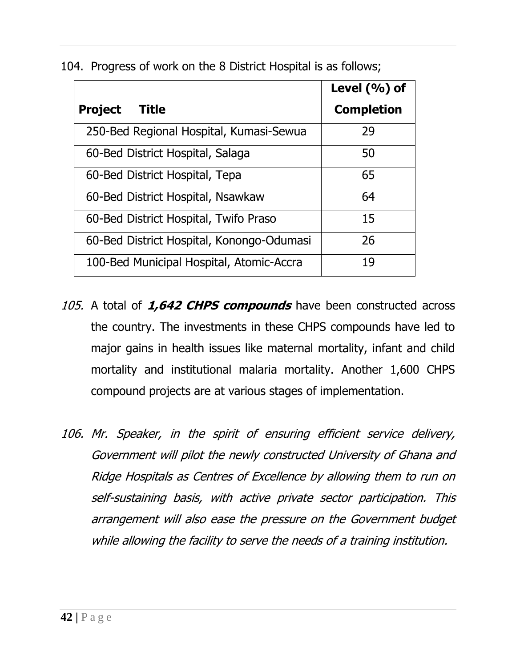104. Progress of work on the 8 District Hospital is as follows;

| Level $(\%)$ of                           |                   |
|-------------------------------------------|-------------------|
| Title<br><b>Project</b>                   | <b>Completion</b> |
| 250-Bed Regional Hospital, Kumasi-Sewua   | 29                |
| 60-Bed District Hospital, Salaga          | 50                |
| 60-Bed District Hospital, Tepa            | 65                |
| 60-Bed District Hospital, Nsawkaw         | 64                |
| 60-Bed District Hospital, Twifo Praso     | 15                |
| 60-Bed District Hospital, Konongo-Odumasi | 26                |
| 100-Bed Municipal Hospital, Atomic-Accra  | 19                |

- 105. A total of **1,642 CHPS compounds** have been constructed across the country. The investments in these CHPS compounds have led to major gains in health issues like maternal mortality, infant and child mortality and institutional malaria mortality. Another 1,600 CHPS compound projects are at various stages of implementation.
- 106. Mr. Speaker, in the spirit of ensuring efficient service delivery, Government will pilot the newly constructed University of Ghana and Ridge Hospitals as Centres of Excellence by allowing them to run on self-sustaining basis, with active private sector participation. This arrangement will also ease the pressure on the Government budget while allowing the facility to serve the needs of a training institution.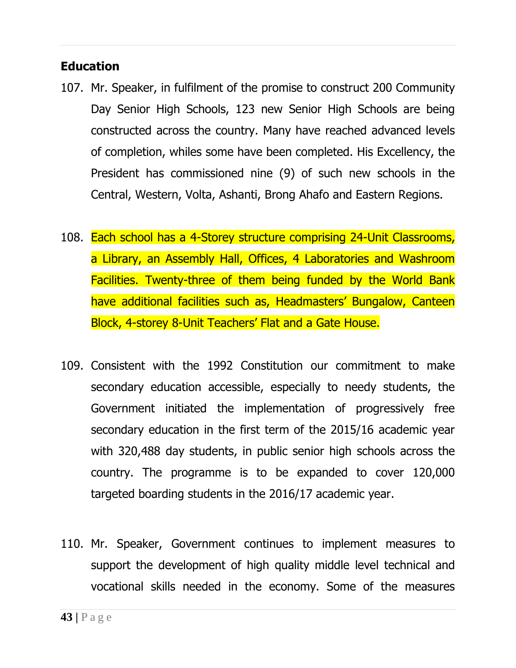#### **Education**

- 107. Mr. Speaker, in fulfilment of the promise to construct 200 Community Day Senior High Schools, 123 new Senior High Schools are being constructed across the country. Many have reached advanced levels of completion, whiles some have been completed. His Excellency, the President has commissioned nine (9) of such new schools in the Central, Western, Volta, Ashanti, Brong Ahafo and Eastern Regions.
- 108. Each school has a 4-Storey structure comprising 24-Unit Classrooms, a Library, an Assembly Hall, Offices, 4 Laboratories and Washroom Facilities. Twenty-three of them being funded by the World Bank have additional facilities such as, Headmasters' Bungalow, Canteen Block, 4-storey 8-Unit Teachers' Flat and a Gate House.
- 109. Consistent with the 1992 Constitution our commitment to make secondary education accessible, especially to needy students, the Government initiated the implementation of progressively free secondary education in the first term of the 2015/16 academic year with 320,488 day students, in public senior high schools across the country. The programme is to be expanded to cover 120,000 targeted boarding students in the 2016/17 academic year.
- 110. Mr. Speaker, Government continues to implement measures to support the development of high quality middle level technical and vocational skills needed in the economy. Some of the measures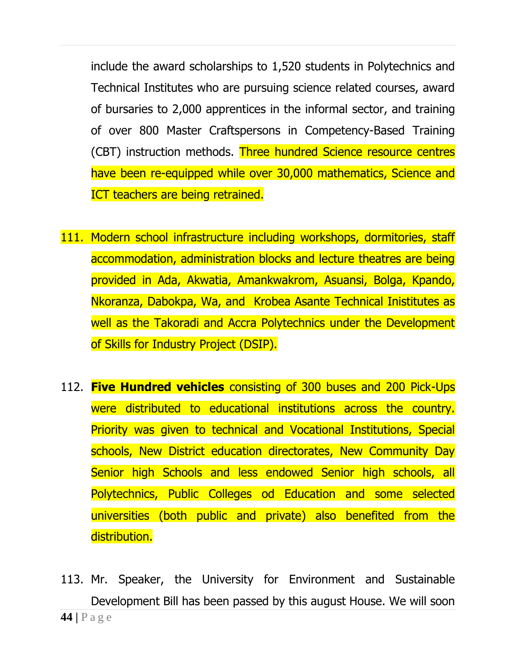include the award scholarships to 1,520 students in Polytechnics and Technical Institutes who are pursuing science related courses, award of bursaries to 2,000 apprentices in the informal sector, and training of over 800 Master Craftspersons in Competency-Based Training (CBT) instruction methods. Three hundred Science resource centres have been re-equipped while over 30,000 mathematics, Science and ICT teachers are being retrained.

- 111. Modern school infrastructure including workshops, dormitories, staff accommodation, administration blocks and lecture theatres are being provided in Ada, Akwatia, Amankwakrom, Asuansi, Bolga, Kpando, Nkoranza, Dabokpa, Wa, and Krobea Asante Technical Inistitutes as well as the Takoradi and Accra Polytechnics under the Development of Skills for Industry Project (DSIP).
- 112. **Five Hundred vehicles** consisting of 300 buses and 200 Pick-Ups were distributed to educational institutions across the country. Priority was given to technical and Vocational Institutions, Special schools, New District education directorates, New Community Day Senior high Schools and less endowed Senior high schools, all Polytechnics, Public Colleges od Education and some selected universities (both public and private) also benefited from the distribution.
- **44 |** P a g e 113. Mr. Speaker, the University for Environment and Sustainable Development Bill has been passed by this august House. We will soon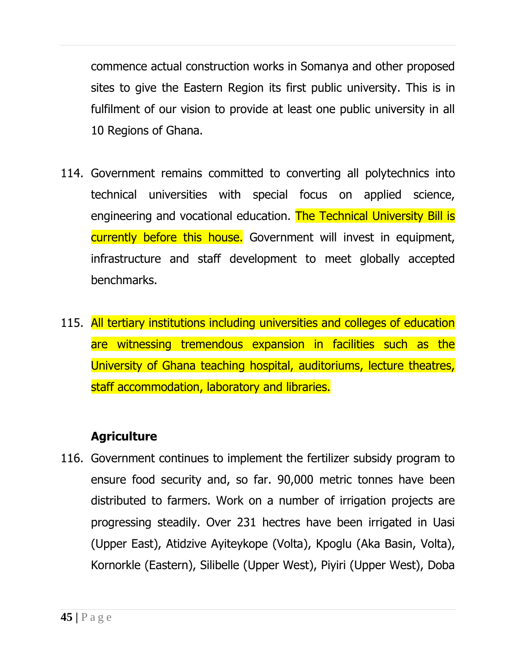commence actual construction works in Somanya and other proposed sites to give the Eastern Region its first public university. This is in fulfilment of our vision to provide at least one public university in all 10 Regions of Ghana.

- 114. Government remains committed to converting all polytechnics into technical universities with special focus on applied science, engineering and vocational education. The Technical University Bill is currently before this house. Government will invest in equipment, infrastructure and staff development to meet globally accepted benchmarks.
- 115. All tertiary institutions including universities and colleges of education are witnessing tremendous expansion in facilities such as the University of Ghana teaching hospital, auditoriums, lecture theatres, staff accommodation, laboratory and libraries.

## **Agriculture**

116. Government continues to implement the fertilizer subsidy program to ensure food security and, so far. 90,000 metric tonnes have been distributed to farmers. Work on a number of irrigation projects are progressing steadily. Over 231 hectres have been irrigated in Uasi (Upper East), Atidzive Ayiteykope (Volta), Kpoglu (Aka Basin, Volta), Kornorkle (Eastern), Silibelle (Upper West), Piyiri (Upper West), Doba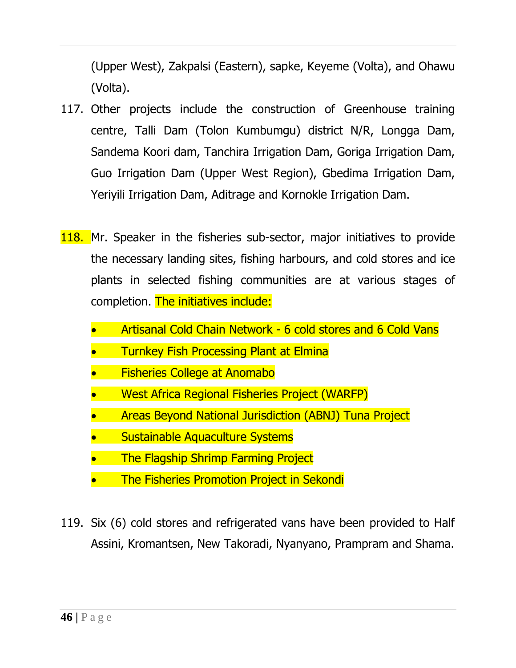(Upper West), Zakpalsi (Eastern), sapke, Keyeme (Volta), and Ohawu (Volta).

- 117. Other projects include the construction of Greenhouse training centre, Talli Dam (Tolon Kumbumgu) district N/R, Longga Dam, Sandema Koori dam, Tanchira Irrigation Dam, Goriga Irrigation Dam, Guo Irrigation Dam (Upper West Region), Gbedima Irrigation Dam, Yeriyili Irrigation Dam, Aditrage and Kornokle Irrigation Dam.
- 118. Mr. Speaker in the fisheries sub-sector, major initiatives to provide the necessary landing sites, fishing harbours, and cold stores and ice plants in selected fishing communities are at various stages of completion. The initiatives include:
	- Artisanal Cold Chain Network 6 cold stores and 6 Cold Vans
	- Turnkey Fish Processing Plant at Elmina
	- Fisheries College at Anomabo
	- West Africa Regional Fisheries Project (WARFP)
	- Areas Beyond National Jurisdiction (ABNJ) Tuna Project
	- Sustainable Aquaculture Systems
	- The Flagship Shrimp Farming Project
	- The Fisheries Promotion Project in Sekondi
- 119. Six (6) cold stores and refrigerated vans have been provided to Half Assini, Kromantsen, New Takoradi, Nyanyano, Prampram and Shama.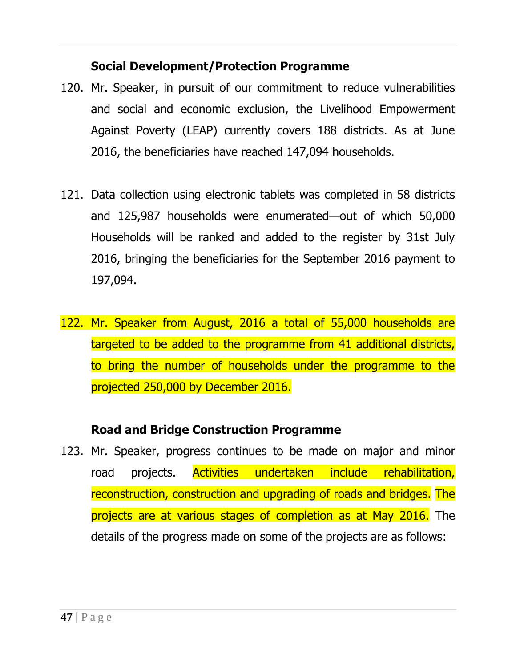## **Social Development/Protection Programme**

- 120. Mr. Speaker, in pursuit of our commitment to reduce vulnerabilities and social and economic exclusion, the Livelihood Empowerment Against Poverty (LEAP) currently covers 188 districts. As at June 2016, the beneficiaries have reached 147,094 households.
- 121. Data collection using electronic tablets was completed in 58 districts and 125,987 households were enumerated—out of which 50,000 Households will be ranked and added to the register by 31st July 2016, bringing the beneficiaries for the September 2016 payment to 197,094.
- 122. Mr. Speaker from August, 2016 a total of 55,000 households are targeted to be added to the programme from 41 additional districts, to bring the number of households under the programme to the projected 250,000 by December 2016.

## **Road and Bridge Construction Programme**

123. Mr. Speaker, progress continues to be made on major and minor road projects. Activities undertaken include rehabilitation, reconstruction, construction and upgrading of roads and bridges. The projects are at various stages of completion as at May 2016. The details of the progress made on some of the projects are as follows: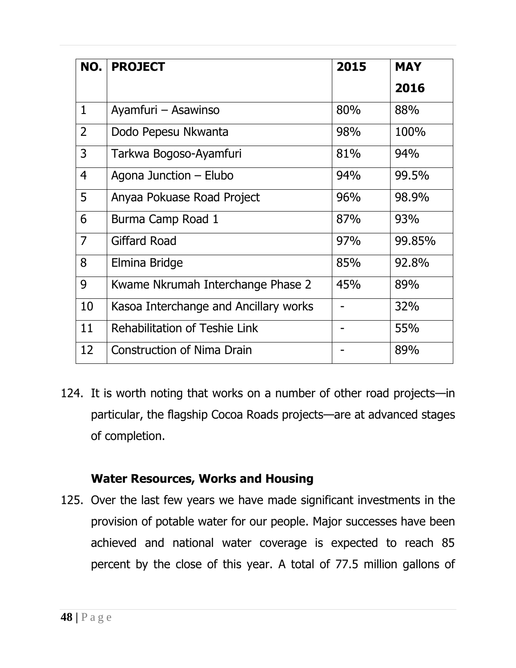| NO.            | <b>PROJECT</b>                        | 2015 | <b>MAY</b> |
|----------------|---------------------------------------|------|------------|
|                |                                       |      | 2016       |
| $\mathbf{1}$   | Ayamfuri – Asawinso                   | 80%  | 88%        |
| $\overline{2}$ | Dodo Pepesu Nkwanta                   | 98%  | 100%       |
| 3              | Tarkwa Bogoso-Ayamfuri                | 81%  | 94%        |
| $\overline{4}$ | Agona Junction – Elubo                | 94%  | 99.5%      |
| 5              | Anyaa Pokuase Road Project            | 96%  | 98.9%      |
| 6              | Burma Camp Road 1                     | 87%  | 93%        |
| $\overline{7}$ | <b>Giffard Road</b>                   | 97%  | 99.85%     |
| 8              | Elmina Bridge                         | 85%  | 92.8%      |
| 9              | Kwame Nkrumah Interchange Phase 2     | 45%  | 89%        |
| 10             | Kasoa Interchange and Ancillary works |      | 32%        |
| 11             | Rehabilitation of Teshie Link         |      | 55%        |
| 12             | <b>Construction of Nima Drain</b>     |      | 89%        |

124. It is worth noting that works on a number of other road projects—in particular, the flagship Cocoa Roads projects—are at advanced stages of completion.

#### **Water Resources, Works and Housing**

125. Over the last few years we have made significant investments in the provision of potable water for our people. Major successes have been achieved and national water coverage is expected to reach 85 percent by the close of this year. A total of 77.5 million gallons of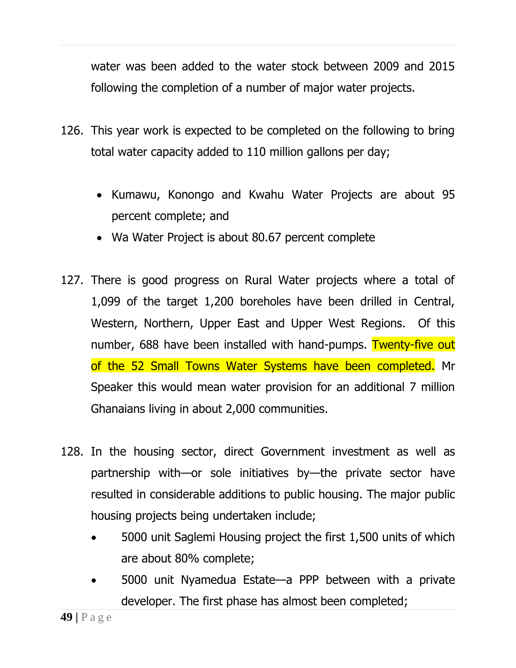water was been added to the water stock between 2009 and 2015 following the completion of a number of major water projects.

- 126. This year work is expected to be completed on the following to bring total water capacity added to 110 million gallons per day;
	- Kumawu, Konongo and Kwahu Water Projects are about 95 percent complete; and
	- Wa Water Project is about 80.67 percent complete
- 127. There is good progress on Rural Water projects where a total of 1,099 of the target 1,200 boreholes have been drilled in Central, Western, Northern, Upper East and Upper West Regions. Of this number, 688 have been installed with hand-pumps. Twenty-five out of the 52 Small Towns Water Systems have been completed. Mr Speaker this would mean water provision for an additional 7 million Ghanaians living in about 2,000 communities.
- 128. In the housing sector, direct Government investment as well as partnership with—or sole initiatives by—the private sector have resulted in considerable additions to public housing. The major public housing projects being undertaken include;
	- 5000 unit Saglemi Housing project the first 1,500 units of which are about 80% complete;
	- 5000 unit Nyamedua Estate—a PPP between with a private developer. The first phase has almost been completed;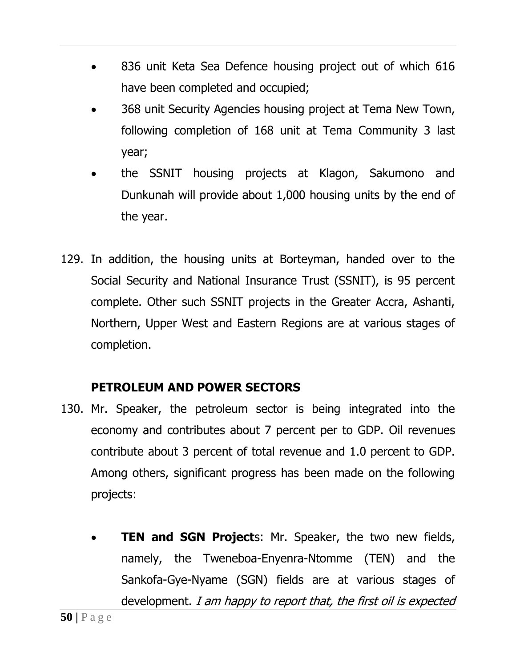- 836 unit Keta Sea Defence housing project out of which 616 have been completed and occupied;
- 368 unit Security Agencies housing project at Tema New Town, following completion of 168 unit at Tema Community 3 last year;
- the SSNIT housing projects at Klagon, Sakumono and Dunkunah will provide about 1,000 housing units by the end of the year.
- 129. In addition, the housing units at Borteyman, handed over to the Social Security and National Insurance Trust (SSNIT), is 95 percent complete. Other such SSNIT projects in the Greater Accra, Ashanti, Northern, Upper West and Eastern Regions are at various stages of completion.

## **PETROLEUM AND POWER SECTORS**

- 130. Mr. Speaker, the petroleum sector is being integrated into the economy and contributes about 7 percent per to GDP. Oil revenues contribute about 3 percent of total revenue and 1.0 percent to GDP. Among others, significant progress has been made on the following projects:
	- **TEN and SGN Project**s: Mr. Speaker, the two new fields, namely, the Tweneboa-Enyenra-Ntomme (TEN) and the Sankofa-Gye-Nyame (SGN) fields are at various stages of development. I am happy to report that, the first oil is expected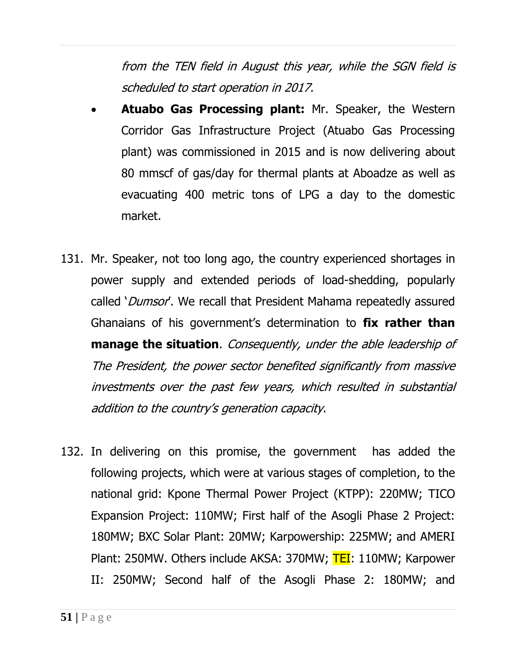from the TEN field in August this year, while the SGN field is scheduled to start operation in 2017.

- **Atuabo Gas Processing plant:** Mr. Speaker, the Western Corridor Gas Infrastructure Project (Atuabo Gas Processing plant) was commissioned in 2015 and is now delivering about 80 mmscf of gas/day for thermal plants at Aboadze as well as evacuating 400 metric tons of LPG a day to the domestic market.
- 131. Mr. Speaker, not too long ago, the country experienced shortages in power supply and extended periods of load-shedding, popularly called '*Dumsor'*. We recall that President Mahama repeatedly assured Ghanaians of his government's determination to **fix rather than manage the situation**. Consequently, under the able leadership of The President, the power sector benefited significantly from massive investments over the past few years, which resulted in substantial addition to the country's generation capacity.
- 132. In delivering on this promise, the government has added the following projects, which were at various stages of completion, to the national grid: Kpone Thermal Power Project (KTPP): 220MW; TICO Expansion Project: 110MW; First half of the Asogli Phase 2 Project: 180MW; BXC Solar Plant: 20MW; Karpowership: 225MW; and AMERI Plant: 250MW. Others include AKSA: 370MW; TEI: 110MW; Karpower II: 250MW; Second half of the Asogli Phase 2: 180MW; and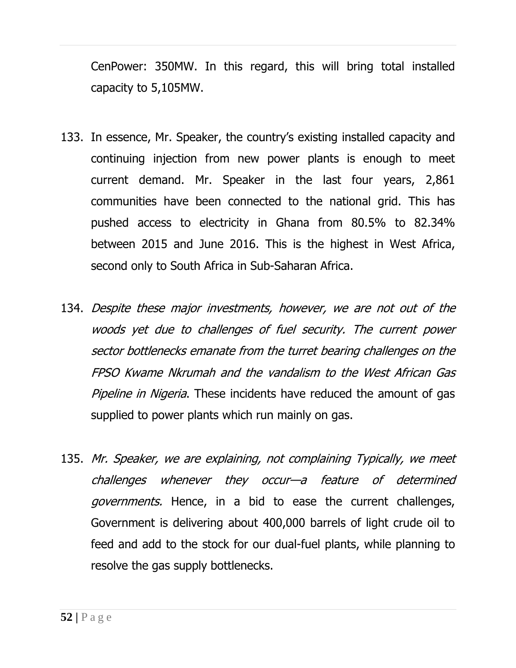CenPower: 350MW. In this regard, this will bring total installed capacity to 5,105MW.

- 133. In essence, Mr. Speaker, the country's existing installed capacity and continuing injection from new power plants is enough to meet current demand. Mr. Speaker in the last four years, 2,861 communities have been connected to the national grid. This has pushed access to electricity in Ghana from 80.5% to 82.34% between 2015 and June 2016. This is the highest in West Africa, second only to South Africa in Sub-Saharan Africa.
- 134. Despite these major investments, however, we are not out of the woods yet due to challenges of fuel security. The current power sector bottlenecks emanate from the turret bearing challenges on the FPSO Kwame Nkrumah and the vandalism to the West African Gas Pipeline in Nigeria. These incidents have reduced the amount of gas supplied to power plants which run mainly on gas.
- 135. Mr. Speaker, we are explaining, not complaining Typically, we meet challenges whenever they occur—a feature of determined governments. Hence, in a bid to ease the current challenges, Government is delivering about 400,000 barrels of light crude oil to feed and add to the stock for our dual-fuel plants, while planning to resolve the gas supply bottlenecks.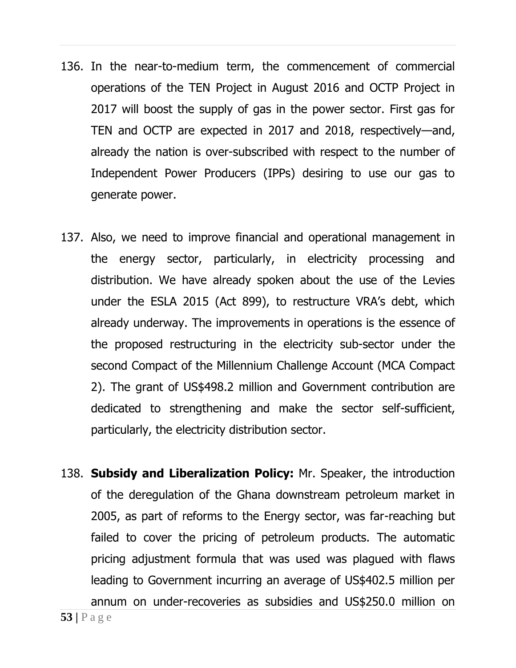- 136. In the near-to-medium term, the commencement of commercial operations of the TEN Project in August 2016 and OCTP Project in 2017 will boost the supply of gas in the power sector. First gas for TEN and OCTP are expected in 2017 and 2018, respectively—and, already the nation is over-subscribed with respect to the number of Independent Power Producers (IPPs) desiring to use our gas to generate power.
- 137. Also, we need to improve financial and operational management in the energy sector, particularly, in electricity processing and distribution. We have already spoken about the use of the Levies under the ESLA 2015 (Act 899), to restructure VRA's debt, which already underway. The improvements in operations is the essence of the proposed restructuring in the electricity sub-sector under the second Compact of the Millennium Challenge Account (MCA Compact 2). The grant of US\$498.2 million and Government contribution are dedicated to strengthening and make the sector self-sufficient, particularly, the electricity distribution sector.
- 138. **Subsidy and Liberalization Policy:** Mr. Speaker, the introduction of the deregulation of the Ghana downstream petroleum market in 2005, as part of reforms to the Energy sector, was far-reaching but failed to cover the pricing of petroleum products. The automatic pricing adjustment formula that was used was plagued with flaws leading to Government incurring an average of US\$402.5 million per annum on under-recoveries as subsidies and US\$250.0 million on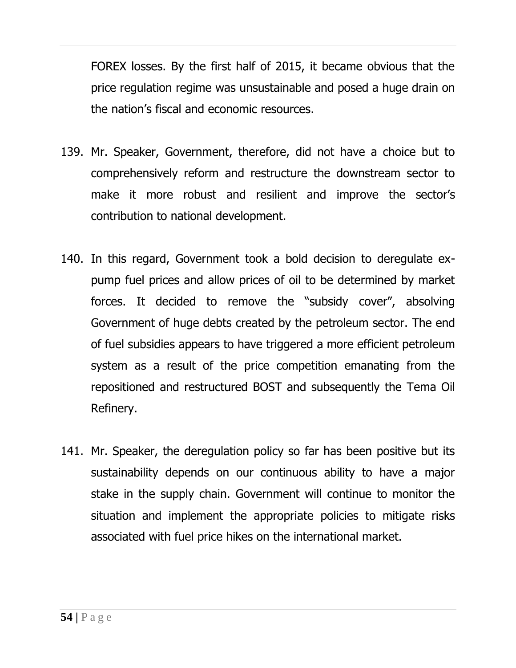FOREX losses. By the first half of 2015, it became obvious that the price regulation regime was unsustainable and posed a huge drain on the nation's fiscal and economic resources.

- 139. Mr. Speaker, Government, therefore, did not have a choice but to comprehensively reform and restructure the downstream sector to make it more robust and resilient and improve the sector's contribution to national development.
- 140. In this regard, Government took a bold decision to deregulate expump fuel prices and allow prices of oil to be determined by market forces. It decided to remove the "subsidy cover", absolving Government of huge debts created by the petroleum sector. The end of fuel subsidies appears to have triggered a more efficient petroleum system as a result of the price competition emanating from the repositioned and restructured BOST and subsequently the Tema Oil Refinery.
- 141. Mr. Speaker, the deregulation policy so far has been positive but its sustainability depends on our continuous ability to have a major stake in the supply chain. Government will continue to monitor the situation and implement the appropriate policies to mitigate risks associated with fuel price hikes on the international market.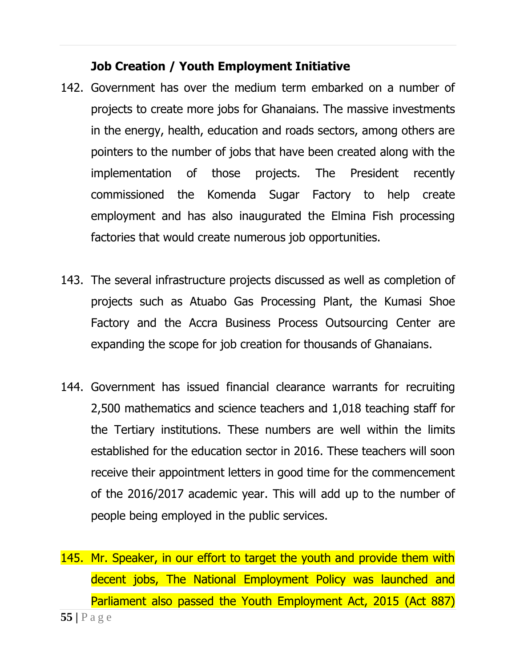#### **Job Creation / Youth Employment Initiative**

- 142. Government has over the medium term embarked on a number of projects to create more jobs for Ghanaians. The massive investments in the energy, health, education and roads sectors, among others are pointers to the number of jobs that have been created along with the implementation of those projects. The President recently commissioned the Komenda Sugar Factory to help create employment and has also inaugurated the Elmina Fish processing factories that would create numerous job opportunities.
- 143. The several infrastructure projects discussed as well as completion of projects such as Atuabo Gas Processing Plant, the Kumasi Shoe Factory and the Accra Business Process Outsourcing Center are expanding the scope for job creation for thousands of Ghanaians.
- 144. Government has issued financial clearance warrants for recruiting 2,500 mathematics and science teachers and 1,018 teaching staff for the Tertiary institutions. These numbers are well within the limits established for the education sector in 2016. These teachers will soon receive their appointment letters in good time for the commencement of the 2016/2017 academic year. This will add up to the number of people being employed in the public services.
- **55 |** P a g e 145. Mr. Speaker, in our effort to target the youth and provide them with decent jobs, The National Employment Policy was launched and Parliament also passed the Youth Employment Act, 2015 (Act 887)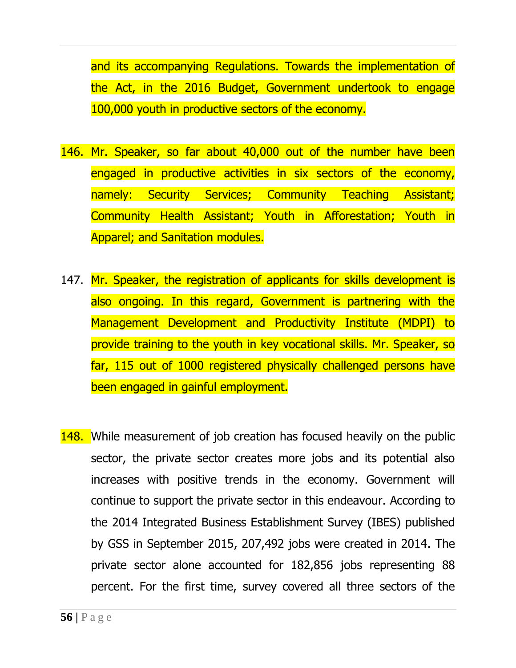and its accompanying Regulations. Towards the implementation of the Act, in the 2016 Budget, Government undertook to engage 100,000 youth in productive sectors of the economy.

- 146. Mr. Speaker, so far about 40,000 out of the number have been engaged in productive activities in six sectors of the economy, namely: Security Services; Community Teaching Assistant; Community Health Assistant; Youth in Afforestation; Youth in Apparel; and Sanitation modules.
- 147. Mr. Speaker, the registration of applicants for skills development is also ongoing. In this regard, Government is partnering with the Management Development and Productivity Institute (MDPI) to provide training to the youth in key vocational skills. Mr. Speaker, so far, 115 out of 1000 registered physically challenged persons have been engaged in gainful employment.
- 148. While measurement of job creation has focused heavily on the public sector, the private sector creates more jobs and its potential also increases with positive trends in the economy. Government will continue to support the private sector in this endeavour. According to the 2014 Integrated Business Establishment Survey (IBES) published by GSS in September 2015, 207,492 jobs were created in 2014. The private sector alone accounted for 182,856 jobs representing 88 percent. For the first time, survey covered all three sectors of the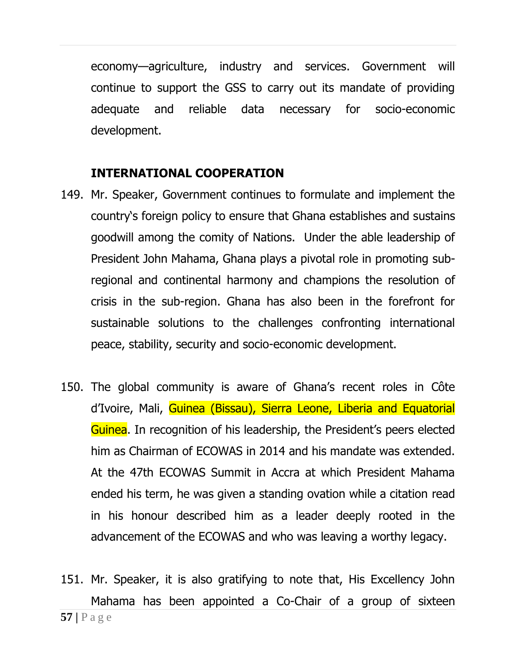economy—agriculture, industry and services. Government will continue to support the GSS to carry out its mandate of providing adequate and reliable data necessary for socio-economic development.

#### **INTERNATIONAL COOPERATION**

- 149. Mr. Speaker, Government continues to formulate and implement the country's foreign policy to ensure that Ghana establishes and sustains goodwill among the comity of Nations. Under the able leadership of President John Mahama, Ghana plays a pivotal role in promoting subregional and continental harmony and champions the resolution of crisis in the sub-region. Ghana has also been in the forefront for sustainable solutions to the challenges confronting international peace, stability, security and socio-economic development.
- 150. The global community is aware of Ghana's recent roles in Côte d'Ivoire, Mali, Guinea (Bissau), Sierra Leone, Liberia and Equatorial Guinea. In recognition of his leadership, the President's peers elected him as Chairman of ECOWAS in 2014 and his mandate was extended. At the 47th ECOWAS Summit in Accra at which President Mahama ended his term, he was given a standing ovation while a citation read in his honour described him as a leader deeply rooted in the advancement of the ECOWAS and who was leaving a worthy legacy.
- **57 |** P a g e 151. Mr. Speaker, it is also gratifying to note that, His Excellency John Mahama has been appointed a Co-Chair of a group of sixteen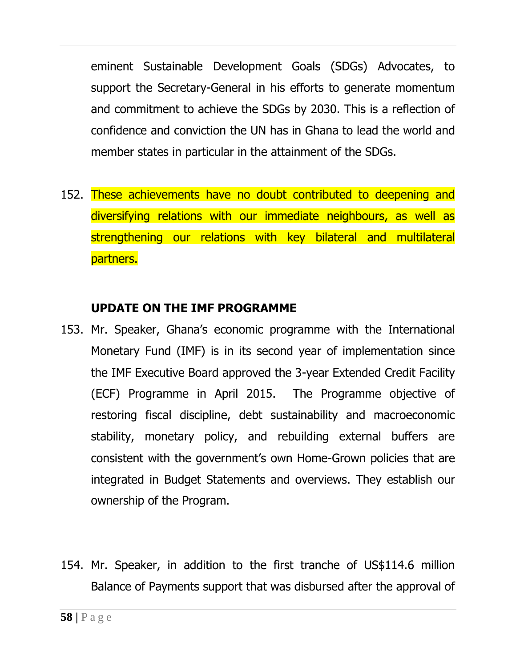eminent Sustainable Development Goals (SDGs) Advocates, to support the Secretary-General in his efforts to generate momentum and commitment to achieve the SDGs by 2030. This is a reflection of confidence and conviction the UN has in Ghana to lead the world and member states in particular in the attainment of the SDGs.

152. These achievements have no doubt contributed to deepening and diversifying relations with our immediate neighbours, as well as strengthening our relations with key bilateral and multilateral partners.

#### **UPDATE ON THE IMF PROGRAMME**

- 153. Mr. Speaker, Ghana's economic programme with the International Monetary Fund (IMF) is in its second year of implementation since the IMF Executive Board approved the 3-year Extended Credit Facility (ECF) Programme in April 2015. The Programme objective of restoring fiscal discipline, debt sustainability and macroeconomic stability, monetary policy, and rebuilding external buffers are consistent with the government's own Home-Grown policies that are integrated in Budget Statements and overviews. They establish our ownership of the Program.
- 154. Mr. Speaker, in addition to the first tranche of US\$114.6 million Balance of Payments support that was disbursed after the approval of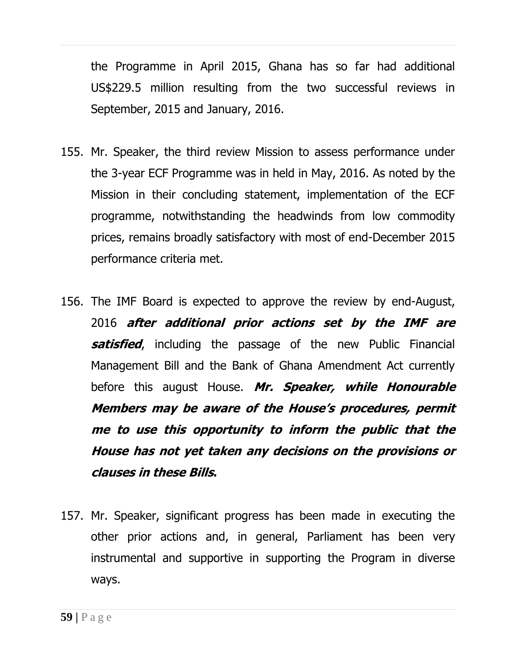the Programme in April 2015, Ghana has so far had additional US\$229.5 million resulting from the two successful reviews in September, 2015 and January, 2016.

- 155. Mr. Speaker, the third review Mission to assess performance under the 3-year ECF Programme was in held in May, 2016. As noted by the Mission in their concluding statement, implementation of the ECF programme, notwithstanding the headwinds from low commodity prices, remains broadly satisfactory with most of end-December 2015 performance criteria met.
- 156. The IMF Board is expected to approve the review by end-August, 2016 **after additional prior actions set by the IMF are satisfied**, including the passage of the new Public Financial Management Bill and the Bank of Ghana Amendment Act currently before this august House. **Mr. Speaker, while Honourable Members may be aware of the House's procedures, permit me to use this opportunity to inform the public that the House has not yet taken any decisions on the provisions or clauses in these Bills.**
- 157. Mr. Speaker, significant progress has been made in executing the other prior actions and, in general, Parliament has been very instrumental and supportive in supporting the Program in diverse ways.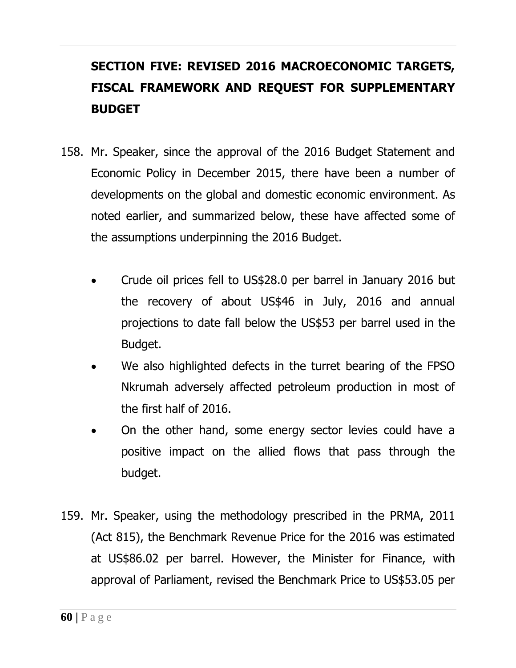# **SECTION FIVE: REVISED 2016 MACROECONOMIC TARGETS, FISCAL FRAMEWORK AND REQUEST FOR SUPPLEMENTARY BUDGET**

- 158. Mr. Speaker, since the approval of the 2016 Budget Statement and Economic Policy in December 2015, there have been a number of developments on the global and domestic economic environment. As noted earlier, and summarized below, these have affected some of the assumptions underpinning the 2016 Budget.
	- Crude oil prices fell to US\$28.0 per barrel in January 2016 but the recovery of about US\$46 in July, 2016 and annual projections to date fall below the US\$53 per barrel used in the Budget.
	- We also highlighted defects in the turret bearing of the FPSO Nkrumah adversely affected petroleum production in most of the first half of 2016.
	- On the other hand, some energy sector levies could have a positive impact on the allied flows that pass through the budget.
- 159. Mr. Speaker, using the methodology prescribed in the PRMA, 2011 (Act 815), the Benchmark Revenue Price for the 2016 was estimated at US\$86.02 per barrel. However, the Minister for Finance, with approval of Parliament, revised the Benchmark Price to US\$53.05 per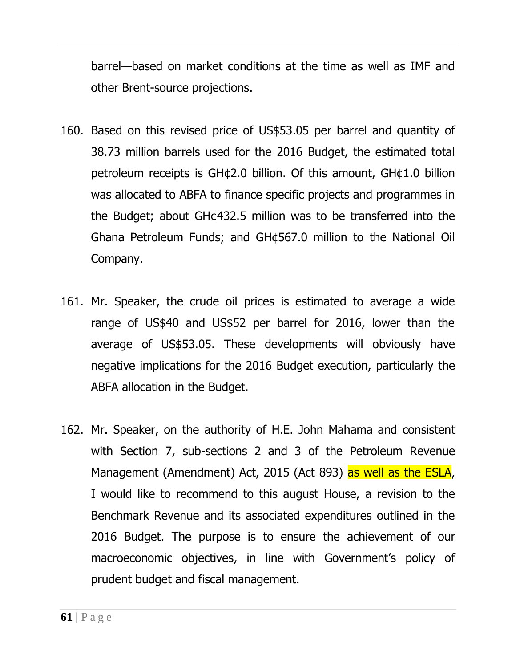barrel—based on market conditions at the time as well as IMF and other Brent-source projections.

- 160. Based on this revised price of US\$53.05 per barrel and quantity of 38.73 million barrels used for the 2016 Budget, the estimated total petroleum receipts is GH¢2.0 billion. Of this amount, GH¢1.0 billion was allocated to ABFA to finance specific projects and programmes in the Budget; about GH¢432.5 million was to be transferred into the Ghana Petroleum Funds; and GH¢567.0 million to the National Oil Company.
- 161. Mr. Speaker, the crude oil prices is estimated to average a wide range of US\$40 and US\$52 per barrel for 2016, lower than the average of US\$53.05. These developments will obviously have negative implications for the 2016 Budget execution, particularly the ABFA allocation in the Budget.
- 162. Mr. Speaker, on the authority of H.E. John Mahama and consistent with Section 7, sub-sections 2 and 3 of the Petroleum Revenue Management (Amendment) Act, 2015 (Act 893) as well as the ESLA, I would like to recommend to this august House, a revision to the Benchmark Revenue and its associated expenditures outlined in the 2016 Budget. The purpose is to ensure the achievement of our macroeconomic objectives, in line with Government's policy of prudent budget and fiscal management.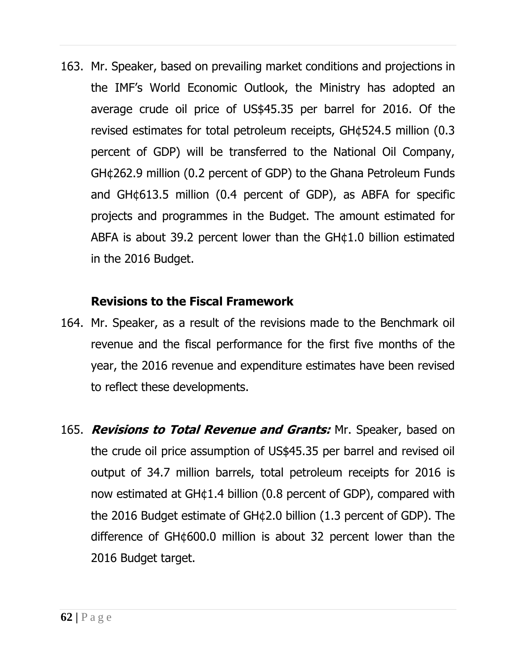163. Mr. Speaker, based on prevailing market conditions and projections in the IMF's World Economic Outlook, the Ministry has adopted an average crude oil price of US\$45.35 per barrel for 2016. Of the revised estimates for total petroleum receipts, GH¢524.5 million (0.3 percent of GDP) will be transferred to the National Oil Company, GH¢262.9 million (0.2 percent of GDP) to the Ghana Petroleum Funds and GH¢613.5 million (0.4 percent of GDP), as ABFA for specific projects and programmes in the Budget. The amount estimated for ABFA is about 39.2 percent lower than the GH¢1.0 billion estimated in the 2016 Budget.

#### **Revisions to the Fiscal Framework**

- 164. Mr. Speaker, as a result of the revisions made to the Benchmark oil revenue and the fiscal performance for the first five months of the year, the 2016 revenue and expenditure estimates have been revised to reflect these developments.
- 165. **Revisions to Total Revenue and Grants:** Mr. Speaker, based on the crude oil price assumption of US\$45.35 per barrel and revised oil output of 34.7 million barrels, total petroleum receipts for 2016 is now estimated at GH¢1.4 billion (0.8 percent of GDP), compared with the 2016 Budget estimate of GH¢2.0 billion (1.3 percent of GDP). The difference of GH¢600.0 million is about 32 percent lower than the 2016 Budget target.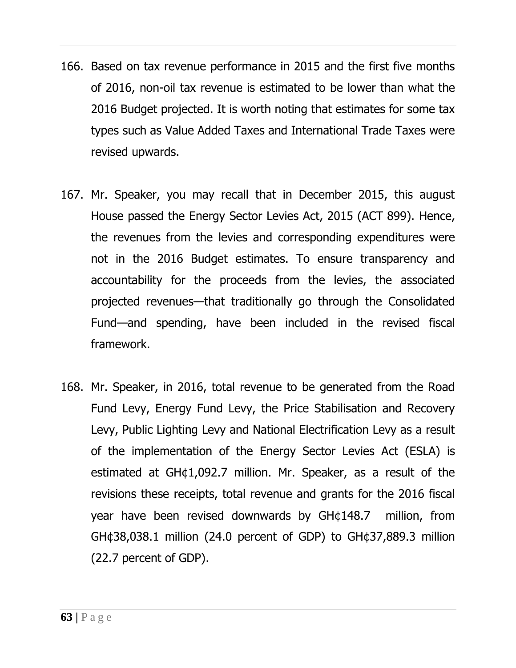- 166. Based on tax revenue performance in 2015 and the first five months of 2016, non-oil tax revenue is estimated to be lower than what the 2016 Budget projected. It is worth noting that estimates for some tax types such as Value Added Taxes and International Trade Taxes were revised upwards.
- 167. Mr. Speaker, you may recall that in December 2015, this august House passed the Energy Sector Levies Act, 2015 (ACT 899). Hence, the revenues from the levies and corresponding expenditures were not in the 2016 Budget estimates. To ensure transparency and accountability for the proceeds from the levies, the associated projected revenues—that traditionally go through the Consolidated Fund—and spending, have been included in the revised fiscal framework.
- 168. Mr. Speaker, in 2016, total revenue to be generated from the Road Fund Levy, Energy Fund Levy, the Price Stabilisation and Recovery Levy, Public Lighting Levy and National Electrification Levy as a result of the implementation of the Energy Sector Levies Act (ESLA) is estimated at GH¢1,092.7 million. Mr. Speaker, as a result of the revisions these receipts, total revenue and grants for the 2016 fiscal year have been revised downwards by GH¢148.7 million, from GH¢38,038.1 million (24.0 percent of GDP) to GH¢37,889.3 million (22.7 percent of GDP).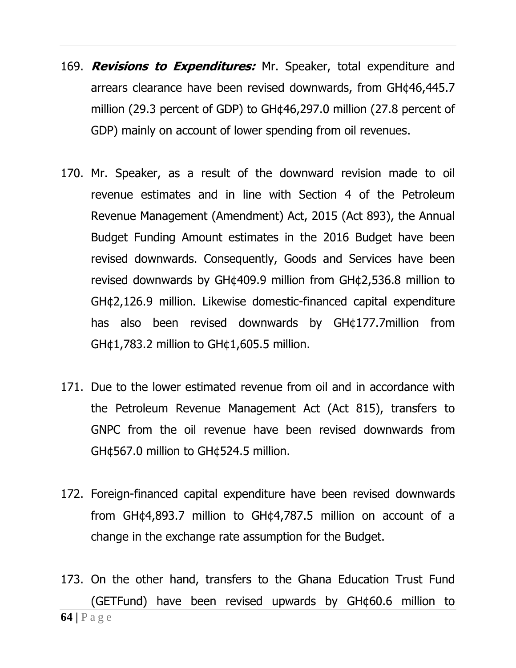- 169. **Revisions to Expenditures:** Mr. Speaker, total expenditure and arrears clearance have been revised downwards, from GH¢46,445.7 million (29.3 percent of GDP) to GH¢46,297.0 million (27.8 percent of GDP) mainly on account of lower spending from oil revenues.
- 170. Mr. Speaker, as a result of the downward revision made to oil revenue estimates and in line with Section 4 of the Petroleum Revenue Management (Amendment) Act, 2015 (Act 893), the Annual Budget Funding Amount estimates in the 2016 Budget have been revised downwards. Consequently, Goods and Services have been revised downwards by GH¢409.9 million from GH¢2,536.8 million to GH¢2,126.9 million. Likewise domestic-financed capital expenditure has also been revised downwards by GH¢177.7million from GH¢1,783.2 million to GH¢1,605.5 million.
- 171. Due to the lower estimated revenue from oil and in accordance with the Petroleum Revenue Management Act (Act 815), transfers to GNPC from the oil revenue have been revised downwards from GH¢567.0 million to GH¢524.5 million.
- 172. Foreign-financed capital expenditure have been revised downwards from GH¢4,893.7 million to GH¢4,787.5 million on account of a change in the exchange rate assumption for the Budget.
- **64 |** P a g e 173. On the other hand, transfers to the Ghana Education Trust Fund (GETFund) have been revised upwards by GH¢60.6 million to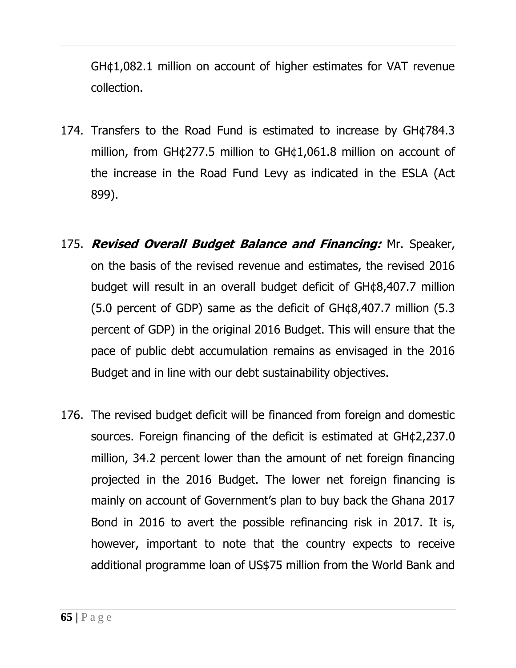GH¢1,082.1 million on account of higher estimates for VAT revenue collection.

- 174. Transfers to the Road Fund is estimated to increase by GH¢784.3 million, from GH¢277.5 million to GH¢1,061.8 million on account of the increase in the Road Fund Levy as indicated in the ESLA (Act 899).
- 175. **Revised Overall Budget Balance and Financing:** Mr. Speaker, on the basis of the revised revenue and estimates, the revised 2016 budget will result in an overall budget deficit of GH¢8,407.7 million (5.0 percent of GDP) same as the deficit of GH¢8,407.7 million (5.3 percent of GDP) in the original 2016 Budget. This will ensure that the pace of public debt accumulation remains as envisaged in the 2016 Budget and in line with our debt sustainability objectives.
- 176. The revised budget deficit will be financed from foreign and domestic sources. Foreign financing of the deficit is estimated at GH¢2,237.0 million, 34.2 percent lower than the amount of net foreign financing projected in the 2016 Budget. The lower net foreign financing is mainly on account of Government's plan to buy back the Ghana 2017 Bond in 2016 to avert the possible refinancing risk in 2017. It is, however, important to note that the country expects to receive additional programme loan of US\$75 million from the World Bank and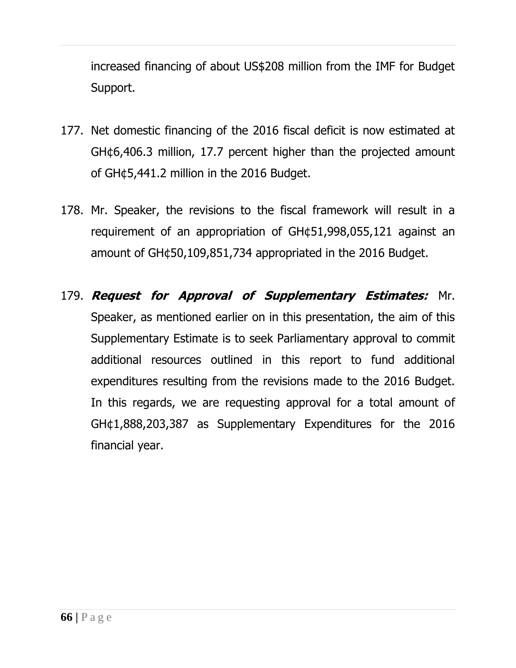increased financing of about US\$208 million from the IMF for Budget Support.

- 177. Net domestic financing of the 2016 fiscal deficit is now estimated at GH¢6,406.3 million, 17.7 percent higher than the projected amount of GH¢5,441.2 million in the 2016 Budget.
- 178. Mr. Speaker, the revisions to the fiscal framework will result in a requirement of an appropriation of GH¢51,998,055,121 against an amount of GH¢50,109,851,734 appropriated in the 2016 Budget.
- 179. **Request for Approval of Supplementary Estimates:** Mr. Speaker, as mentioned earlier on in this presentation, the aim of this Supplementary Estimate is to seek Parliamentary approval to commit additional resources outlined in this report to fund additional expenditures resulting from the revisions made to the 2016 Budget. In this regards, we are requesting approval for a total amount of GH¢1,888,203,387 as Supplementary Expenditures for the 2016 financial year.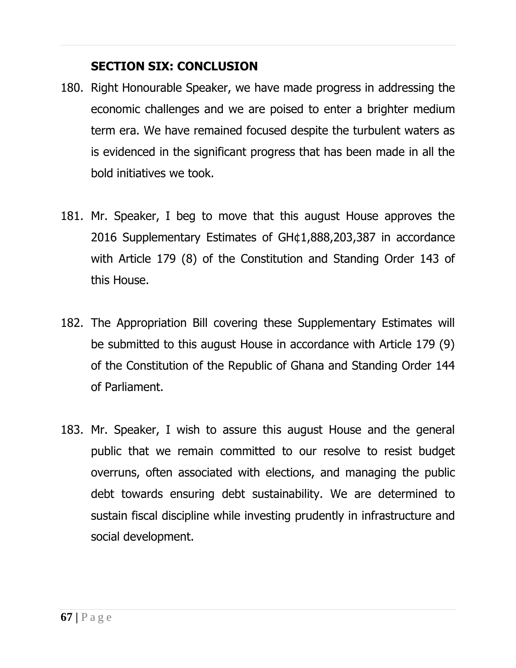## **SECTION SIX: CONCLUSION**

- 180. Right Honourable Speaker, we have made progress in addressing the economic challenges and we are poised to enter a brighter medium term era. We have remained focused despite the turbulent waters as is evidenced in the significant progress that has been made in all the bold initiatives we took.
- 181. Mr. Speaker, I beg to move that this august House approves the 2016 Supplementary Estimates of GH¢1,888,203,387 in accordance with Article 179 (8) of the Constitution and Standing Order 143 of this House.
- 182. The Appropriation Bill covering these Supplementary Estimates will be submitted to this august House in accordance with Article 179 (9) of the Constitution of the Republic of Ghana and Standing Order 144 of Parliament.
- 183. Mr. Speaker, I wish to assure this august House and the general public that we remain committed to our resolve to resist budget overruns, often associated with elections, and managing the public debt towards ensuring debt sustainability. We are determined to sustain fiscal discipline while investing prudently in infrastructure and social development.